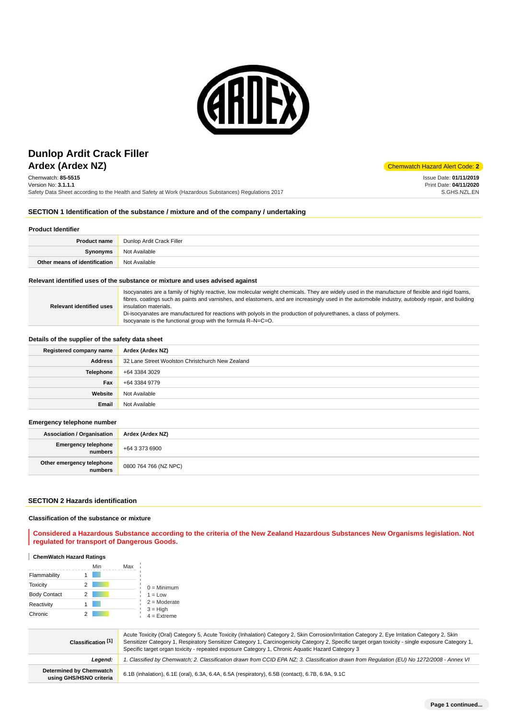

# **Ardex (Ardex NZ)** Chemwatch Hazard Alert Code: 2 **Dunlop Ardit Crack Filler**

Chemwatch: **85-5515** Version No: **3.1.1.1** Safety Data Sheet according to the Health and Safety at Work (Hazardous Substances) Regulations 2017

Issue Date: **01/11/2019** Print Date: **04/11/2020** S.GHS.NZL.EN

## **SECTION 1 Identification of the substance / mixture and of the company / undertaking**

#### **Product Identifier**

| <b>Product name</b>           | Dunlop Ardit Crack Filler |  |
|-------------------------------|---------------------------|--|
| Synonyms                      | Not Available             |  |
| Other means of identification | Not Available             |  |

#### **Relevant identified uses of the substance or mixture and uses advised against**

| <b>Relevant identified uses</b> | Isocyanates are a family of highly reactive, low molecular weight chemicals. They are widely used in the manufacture of flexible and rigid foams,<br>fibres, coatings such as paints and varnishes, and elastomers, and are increasingly used in the automobile industry, autobody repair, and building<br>insulation materials. |
|---------------------------------|----------------------------------------------------------------------------------------------------------------------------------------------------------------------------------------------------------------------------------------------------------------------------------------------------------------------------------|
|                                 | Di-isocyanates are manufactured for reactions with polyols in the production of polyurethanes, a class of polymers.                                                                                                                                                                                                              |
|                                 | Isocyanate is the functional group with the formula R-N=C=O.                                                                                                                                                                                                                                                                     |

## **Details of the supplier of the safety data sheet**

| Registered company name | Ardex (Ardex NZ)                                 |  |
|-------------------------|--------------------------------------------------|--|
| <b>Address</b>          | 32 Lane Street Woolston Christchurch New Zealand |  |
| Telephone               | +64 3384 3029                                    |  |
| Fax                     | +64 3384 9779                                    |  |
| Website                 | Not Available                                    |  |
| Email                   | Not Available                                    |  |

#### **Emergency telephone number**

| <b>Association / Organisation</b>     | Ardex (Ardex NZ)      |
|---------------------------------------|-----------------------|
| <b>Emergency telephone</b><br>numbers | +64 3 373 6900        |
| Other emergency telephone<br>numbers  | 0800 764 766 (NZ NPC) |

#### **SECTION 2 Hazards identification**

#### **Classification of the substance or mixture**

**Considered a Hazardous Substance according to the criteria of the New Zealand Hazardous Substances New Organisms legislation. Not regulated for transport of Dangerous Goods.**

## **ChemWatch Hazard Ratings**

|                     | Min | Max                         |
|---------------------|-----|-----------------------------|
| Flammability        |     |                             |
| <b>Toxicity</b>     | 2   | $0 =$ Minimum               |
| <b>Body Contact</b> | 2   | $1 = Low$                   |
| Reactivity          |     | $2 =$ Moderate              |
| Chronic             |     | $3 = High$<br>$4 =$ Extreme |

| Classification [1]                                 | Acute Toxicity (Oral) Category 5, Acute Toxicity (Inhalation) Category 2, Skin Corrosion/Irritation Category 2, Eye Irritation Category 2, Skin<br>Sensitizer Category 1, Respiratory Sensitizer Category 1, Carcinogenicity Category 2, Specific target organ toxicity - single exposure Category 1,<br>Specific target organ toxicity - repeated exposure Category 1, Chronic Aguatic Hazard Category 3 |  |
|----------------------------------------------------|-----------------------------------------------------------------------------------------------------------------------------------------------------------------------------------------------------------------------------------------------------------------------------------------------------------------------------------------------------------------------------------------------------------|--|
| Leaend:                                            | 1. Classified by Chemwatch; 2. Classification drawn from CCID EPA NZ; 3. Classification drawn from Requlation (EU) No 1272/2008 - Annex VI                                                                                                                                                                                                                                                                |  |
| Determined by Chemwatch<br>using GHS/HSNO criteria | 6.1B (inhalation), 6.1E (oral), 6.3A, 6.4A, 6.5A (respiratory), 6.5B (contact), 6.7B, 6.9A, 9.1C                                                                                                                                                                                                                                                                                                          |  |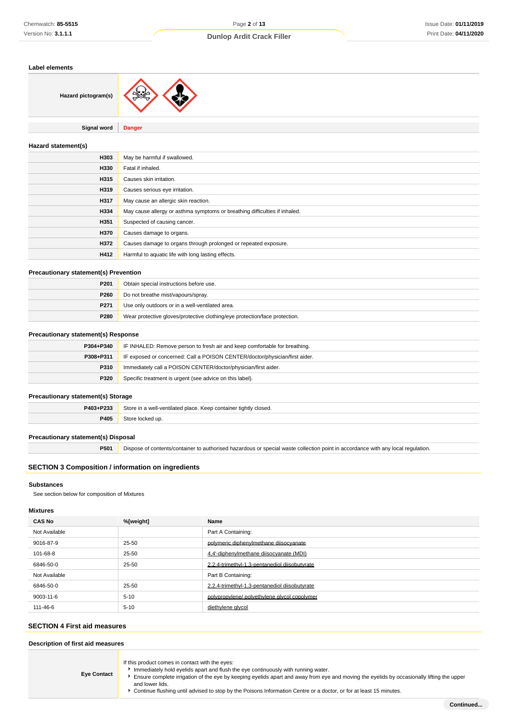## **Label elements**

| Hazard pictogram(s) |               |
|---------------------|---------------|
|                     |               |
| <b>Signal word</b>  | <b>Danger</b> |

#### **Hazard statement(s)**

| H303 | May be harmful if swallowed.                                               |  |
|------|----------------------------------------------------------------------------|--|
| H330 | Fatal if inhaled.                                                          |  |
| H315 | Causes skin irritation.                                                    |  |
| H319 | Causes serious eye irritation.                                             |  |
| H317 | May cause an allergic skin reaction.                                       |  |
| H334 | May cause allergy or asthma symptoms or breathing difficulties if inhaled. |  |
| H351 | Suspected of causing cancer.                                               |  |
| H370 | Causes damage to organs.                                                   |  |
| H372 | Causes damage to organs through prolonged or repeated exposure.            |  |
| H412 | Harmful to aquatic life with long lasting effects.                         |  |

#### **Precautionary statement(s) Prevention**

| P <sub>201</sub> | Obtain special instructions before use.                                    |  |
|------------------|----------------------------------------------------------------------------|--|
| P260             | Do not breathe mist/vapours/spray.                                         |  |
| P <sub>271</sub> | Use only outdoors or in a well-ventilated area.                            |  |
| <b>P280</b>      | Wear protective gloves/protective clothing/eye protection/face protection. |  |

#### **Precautionary statement(s) Response**

| P304+P340   | IF INHALED: Remove person to fresh air and keep comfortable for breathing.  |  |
|-------------|-----------------------------------------------------------------------------|--|
| P308+P311   | IF exposed or concerned: Call a POISON CENTER/doctor/physician/first aider. |  |
| P310        | Immediately call a POISON CENTER/doctor/physician/first aider.              |  |
| <b>P320</b> | Specific treatment is urgent (see advice on this label).                    |  |

## **Precautionary statement(s) Storage**

| P403+P233 | Store in a well-ventilated place. Keep container tightly closed. |  |
|-----------|------------------------------------------------------------------|--|
| P405      | Store locked up.                                                 |  |

## **Precautionary statement(s) Disposal**

**P501** Dispose of contents/container to authorised hazardous or special waste collection point in accordance with any local regulation.

## **SECTION 3 Composition / information on ingredients**

#### **Substances**

See section below for composition of Mixtures

#### **Mixtures**

| <b>CAS No</b> | %[weight] | Name                                          |
|---------------|-----------|-----------------------------------------------|
| Not Available |           | Part A Containing:                            |
| 9016-87-9     | 25-50     | polymeric diphenylmethane diisocyanate        |
| 101-68-8      | 25-50     | 4.4'-diphenylmethane diisocyanate (MDI)       |
| 6846-50-0     | 25-50     | 2.2.4-trimethyl-1.3-pentanediol diisobutyrate |
| Not Available |           | Part B Containing:                            |
| 6846-50-0     | 25-50     | 2.2.4-trimethyl-1.3-pentanediol diisobutyrate |
| 9003-11-6     | $5 - 10$  | polypropylene/polyethylene glycol copolymer   |
| 111-46-6      | $5 - 10$  | diethylene glycol                             |

#### **SECTION 4 First aid measures**

# **Description of first aid measures**

**Eye Contact** If this product comes in contact with the eyes: Immediately hold eyelids apart and flush the eye continuously with running water. Ensure complete irrigation of the eye by keeping eyelids apart and away from eye and moving the eyelids by occasionally lifting the upper and lower lids. Continue flushing until advised to stop by the Poisons Information Centre or a doctor, or for at least 15 minutes.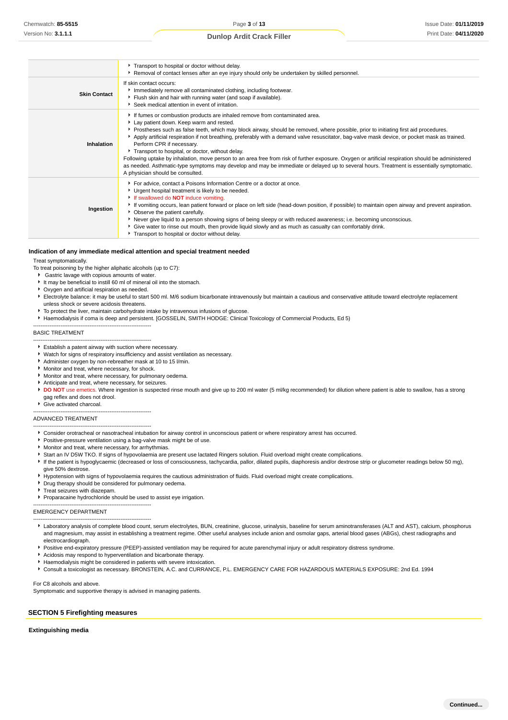|                     | Transport to hospital or doctor without delay.<br>▶ Removal of contact lenses after an eye injury should only be undertaken by skilled personnel.                                                                                                                                                                                                                                                                                                                                                                                                                                                                                                                                                                                                                                                                                        |  |  |  |  |
|---------------------|------------------------------------------------------------------------------------------------------------------------------------------------------------------------------------------------------------------------------------------------------------------------------------------------------------------------------------------------------------------------------------------------------------------------------------------------------------------------------------------------------------------------------------------------------------------------------------------------------------------------------------------------------------------------------------------------------------------------------------------------------------------------------------------------------------------------------------------|--|--|--|--|
| <b>Skin Contact</b> | If skin contact occurs:<br>Immediately remove all contaminated clothing, including footwear.<br>Flush skin and hair with running water (and soap if available).<br>Seek medical attention in event of irritation.                                                                                                                                                                                                                                                                                                                                                                                                                                                                                                                                                                                                                        |  |  |  |  |
| Inhalation          | If fumes or combustion products are inhaled remove from contaminated area.<br>Lay patient down. Keep warm and rested.<br>▶ Prostheses such as false teeth, which may block airway, should be removed, where possible, prior to initiating first aid procedures.<br>Apply artificial respiration if not breathing, preferably with a demand valve resuscitator, bag-valve mask device, or pocket mask as trained.<br>Perform CPR if necessary.<br>Transport to hospital, or doctor, without delay.<br>Following uptake by inhalation, move person to an area free from risk of further exposure. Oxygen or artificial respiration should be administered<br>as needed. Asthmatic-type symptoms may develop and may be immediate or delayed up to several hours. Treatment is essentially symptomatic.<br>A physician should be consulted. |  |  |  |  |
| Ingestion           | For advice, contact a Poisons Information Centre or a doctor at once.<br>Urgent hospital treatment is likely to be needed.<br>If swallowed do <b>NOT</b> induce vomiting.<br>If vomiting occurs, lean patient forward or place on left side (head-down position, if possible) to maintain open airway and prevent aspiration.<br>• Observe the patient carefully.<br>Never give liquid to a person showing signs of being sleepy or with reduced awareness; i.e. becoming unconscious.<br>▶ Give water to rinse out mouth, then provide liquid slowly and as much as casualty can comfortably drink.<br>Transport to hospital or doctor without delay.                                                                                                                                                                                   |  |  |  |  |

#### **Indication of any immediate medical attention and special treatment needed**

Treat symptomatically.

- To treat poisoning by the higher aliphatic alcohols (up to C7):
- Gastric lavage with copious amounts of water.
- It may be beneficial to instill 60 ml of mineral oil into the stomach.
- Oxygen and artificial respiration as needed.
- Electrolyte balance: it may be useful to start 500 ml. M/6 sodium bicarbonate intravenously but maintain a cautious and conservative attitude toward electrolyte replacement unless shock or severe acidosis threatens.
- To protect the liver, maintain carbohydrate intake by intravenous infusions of glucose.
- Haemodialysis if coma is deep and persistent. [GOSSELIN, SMITH HODGE: Clinical Toxicology of Commercial Products, Ed 5)

#### BASIC TREATMENT

- ----------------------------------------------------------------- Establish a patent airway with suction where necessary.
- Watch for signs of respiratory insufficiency and assist ventilation as necessary.
- Administer oxygen by non-rebreather mask at 10 to 15 l/min.
- **Monitor and treat, where necessary, for shock.**

-----------------------------------------------------------------

-----------------------------------------------------------------

- Monitor and treat, where necessary, for pulmonary oedema.
- Anticipate and treat, where necessary, for seizures.
- **DO NOT** use emetics. Where ingestion is suspected rinse mouth and give up to 200 ml water (5 ml/kg recommended) for dilution where patient is able to swallow, has a strong gag reflex and does not drool.
- Give activated charcoal.

#### ADVANCED TREATMENT

- ----------------------------------------------------------------- Consider orotracheal or nasotracheal intubation for airway control in unconscious patient or where respiratory arrest has occurred.
- **Positive-pressure ventilation using a bag-valve mask might be of use**
- **Monitor and treat, where necessary, for arrhythmias.**
- Start an IV D5W TKO. If signs of hypovolaemia are present use lactated Ringers solution. Fluid overload might create complications.
- If the patient is hypoglycaemic (decreased or loss of consciousness, tachycardia, pallor, dilated pupils, diaphoresis and/or dextrose strip or glucometer readings below 50 mg),
- give 50% dextrose.
- Hypotension with signs of hypovolaemia requires the cautious administration of fluids. Fluid overload might create complications.
- **P** Drug therapy should be considered for pulmonary oedema.
- Treat seizures with diazepam.

-----------------------------------------------------------------

-----------------------------------------------------------------

Proparacaine hydrochloride should be used to assist eye irrigation.

#### EMERGENCY DEPARTMENT

- Laboratory analysis of complete blood count, serum electrolytes, BUN, creatinine, glucose, urinalysis, baseline for serum aminotransferases (ALT and AST), calcium, phosphorus and magnesium, may assist in establishing a treatment regime. Other useful analyses include anion and osmolar gaps, arterial blood gases (ABGs), chest radiographs and electrocardiograph.
- Positive end-expiratory pressure (PEEP)-assisted ventilation may be required for acute parenchymal injury or adult respiratory distress syndrome.
- Acidosis may respond to hyperventilation and bicarbonate therapy.
- Haemodialysis might be considered in patients with severe intoxication.
- Consult a toxicologist as necessary. BRONSTEIN, A.C. and CURRANCE, P.L. EMERGENCY CARE FOR HAZARDOUS MATERIALS EXPOSURE: 2nd Ed. 1994

For C8 alcohols and above.

Symptomatic and supportive therapy is advised in managing patients.

#### **SECTION 5 Firefighting measures**

#### **Extinguishing media**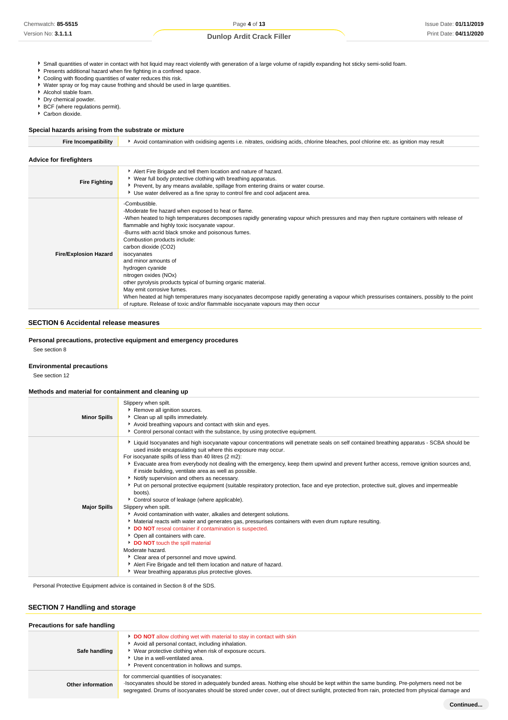- Small quantities of water in contact with hot liquid may react violently with generation of a large volume of rapidly expanding hot sticky semi-solid foam.
- Presents additional hazard when fire fighting in a confined space.
- Cooling with flooding quantities of water reduces this risk.
- Water spray or fog may cause frothing and should be used in large quantities.
- Alcohol stable foam.
- **Dry chemical powder.**
- **BCF** (where regulations permit).
- Carbon dioxide.

## **Special hazards arising from the substrate or mixture**

| <b>Fire Incompatibility</b>    | Avoid contamination with oxidising agents i.e. nitrates, oxidising acids, chlorine bleaches, pool chlorine etc. as ignition may result                                                                                                                                                                                                                                                                                                                                                                                                                                                                                                                                                                                                                                                             |  |  |  |  |
|--------------------------------|----------------------------------------------------------------------------------------------------------------------------------------------------------------------------------------------------------------------------------------------------------------------------------------------------------------------------------------------------------------------------------------------------------------------------------------------------------------------------------------------------------------------------------------------------------------------------------------------------------------------------------------------------------------------------------------------------------------------------------------------------------------------------------------------------|--|--|--|--|
| <b>Advice for firefighters</b> |                                                                                                                                                                                                                                                                                                                                                                                                                                                                                                                                                                                                                                                                                                                                                                                                    |  |  |  |  |
| <b>Fire Fighting</b>           | Alert Fire Brigade and tell them location and nature of hazard.<br>▶ Wear full body protective clothing with breathing apparatus.<br>▶ Prevent, by any means available, spillage from entering drains or water course.<br>► Use water delivered as a fine spray to control fire and cool adjacent area.                                                                                                                                                                                                                                                                                                                                                                                                                                                                                            |  |  |  |  |
| <b>Fire/Explosion Hazard</b>   | -Combustible.<br>-Moderate fire hazard when exposed to heat or flame.<br>-When heated to high temperatures decomposes rapidly generating vapour which pressures and may then rupture containers with release of<br>flammable and highly toxic isocyanate vapour.<br>-Burns with acrid black smoke and poisonous fumes.<br>Combustion products include:<br>carbon dioxide (CO2)<br>isocyanates<br>and minor amounts of<br>hydrogen cyanide<br>nitrogen oxides (NOx)<br>other pyrolysis products typical of burning organic material.<br>May emit corrosive fumes.<br>When heated at high temperatures many isocyanates decompose rapidly generating a vapour which pressurises containers, possibly to the point<br>of rupture. Release of toxic and/or flammable isocyanate vapours may then occur |  |  |  |  |

## **SECTION 6 Accidental release measures**

#### **Personal precautions, protective equipment and emergency procedures**

See section 8

# **Environmental precautions**

See section 12

#### **Methods and material for containment and cleaning up**

| <b>Minor Spills</b> | Slippery when spilt.<br>Remove all ignition sources.<br>Clean up all spills immediately.<br>Avoid breathing vapours and contact with skin and eyes.<br>► Control personal contact with the substance, by using protective equipment.                                                                                                                                                                                                                                                                                                                                                                                                                                                                                                                                                                                                                                                                                                                                                                                                                                                                                                                                                                                                                              |
|---------------------|-------------------------------------------------------------------------------------------------------------------------------------------------------------------------------------------------------------------------------------------------------------------------------------------------------------------------------------------------------------------------------------------------------------------------------------------------------------------------------------------------------------------------------------------------------------------------------------------------------------------------------------------------------------------------------------------------------------------------------------------------------------------------------------------------------------------------------------------------------------------------------------------------------------------------------------------------------------------------------------------------------------------------------------------------------------------------------------------------------------------------------------------------------------------------------------------------------------------------------------------------------------------|
| <b>Major Spills</b> | ▶ Liquid Isocyanates and high isocyanate vapour concentrations will penetrate seals on self contained breathing apparatus - SCBA should be<br>used inside encapsulating suit where this exposure may occur.<br>For isocyanate spills of less than 40 litres (2 m2):<br>Evacuate area from everybody not dealing with the emergency, keep them upwind and prevent further access, remove ignition sources and,<br>if inside building, ventilate area as well as possible.<br>Notify supervision and others as necessary.<br>▶ Put on personal protective equipment (suitable respiratory protection, face and eye protection, protective suit, gloves and impermeable<br>boots).<br>Control source of leakage (where applicable).<br>Slippery when spilt.<br>Avoid contamination with water, alkalies and detergent solutions.<br>Material reacts with water and generates gas, pressurises containers with even drum rupture resulting.<br>DO NOT reseal container if contamination is suspected.<br>• Open all containers with care.<br>DO NOT touch the spill material<br>Moderate hazard.<br>Clear area of personnel and move upwind.<br>Alert Fire Brigade and tell them location and nature of hazard.<br>▶ Wear breathing apparatus plus protective gloves. |

Personal Protective Equipment advice is contained in Section 8 of the SDS.

## **SECTION 7 Handling and storage**

| Precautions for safe handling |                                                                                                                                                                                                                                                                                                                                       |
|-------------------------------|---------------------------------------------------------------------------------------------------------------------------------------------------------------------------------------------------------------------------------------------------------------------------------------------------------------------------------------|
| Safe handling                 | <b>DO NOT</b> allow clothing wet with material to stay in contact with skin<br>Avoid all personal contact, including inhalation.<br>Wear protective clothing when risk of exposure occurs.<br>Use in a well-ventilated area.<br>Prevent concentration in hollows and sumps.                                                           |
| <b>Other information</b>      | for commercial quantities of isocyanates:<br>Isocyanates should be stored in adequately bunded areas. Nothing else should be kept within the same bunding. Pre-polymers need not be<br>segregated. Drums of isocyanates should be stored under cover, out of direct sunlight, protected from rain, protected from physical damage and |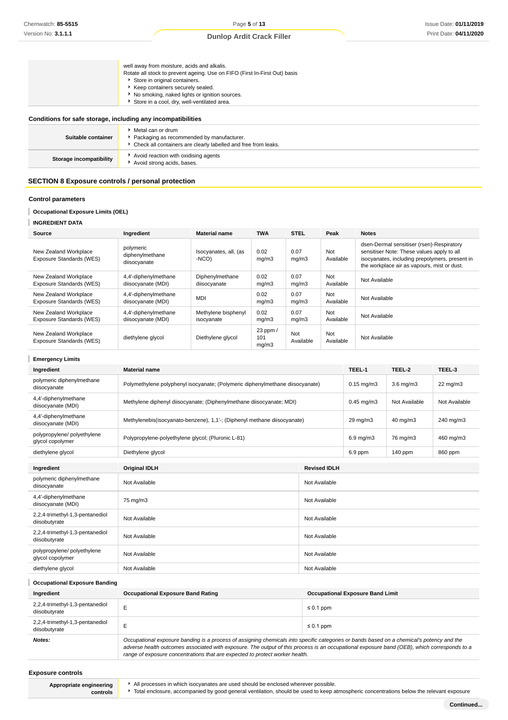| well away from moisture, acids and alkalis.                                |
|----------------------------------------------------------------------------|
| Rotate all stock to prevent ageing. Use on FIFO (First In-First Out) basis |
| Store in original containers.                                              |
| ▶ Keep containers securely sealed.                                         |
| ▶ No smoking, naked lights or ignition sources.                            |
| Store in a cool, dry, well-ventilated area.                                |

## **Conditions for safe storage, including any incompatibilities**

| Suitable container      | • Metal can or drum<br>▶ Packaging as recommended by manufacturer.<br>• Check all containers are clearly labelled and free from leaks. |  |
|-------------------------|----------------------------------------------------------------------------------------------------------------------------------------|--|
| Storage incompatibility | Avoid reaction with oxidising agents<br>Avoid strong acids, bases.                                                                     |  |

## **SECTION 8 Exposure controls / personal protection**

## **Control parameters**

#### **Occupational Exposure Limits (OEL)** ı

| Source                                            | Ingredient                                   | <b>Material name</b>              | <b>TWA</b>               | <b>STEL</b>      | Peak             | <b>Notes</b>                                                                                                                                                                             |
|---------------------------------------------------|----------------------------------------------|-----------------------------------|--------------------------|------------------|------------------|------------------------------------------------------------------------------------------------------------------------------------------------------------------------------------------|
| New Zealand Workplace<br>Exposure Standards (WES) | polymeric<br>diphenylmethane<br>diisocyanate | Isocyanates, all, (as<br>-NCO)    | 0.02<br>mg/m3            | 0.07<br>mq/m3    | Not<br>Available | dsen-Dermal sensitiser (rsen)-Respiratory<br>sensitiser Note: These values apply to all<br>isocyanates, including prepolymers, present in<br>the workplace air as vapours, mist or dust. |
| New Zealand Workplace<br>Exposure Standards (WES) | 4,4'-diphenylmethane<br>diisocyanate (MDI)   | Diphenylmethane<br>diisocyanate   | 0.02<br>mq/m3            | 0.07<br>mq/m3    | Not<br>Available | Not Available                                                                                                                                                                            |
| New Zealand Workplace<br>Exposure Standards (WES) | 4,4'-diphenylmethane<br>diisocyanate (MDI)   | <b>MDI</b>                        | 0.02<br>mq/m3            | 0.07<br>mq/m3    | Not<br>Available | Not Available                                                                                                                                                                            |
| New Zealand Workplace<br>Exposure Standards (WES) | 4,4'-diphenylmethane<br>diisocyanate (MDI)   | Methylene bisphenyl<br>isocyanate | 0.02<br>mq/m3            | 0.07<br>mq/m3    | Not<br>Available | Not Available                                                                                                                                                                            |
| New Zealand Workplace<br>Exposure Standards (WES) | diethylene glycol                            | Diethylene glycol                 | 23 ppm /<br>101<br>mg/m3 | Not<br>Available | Not<br>Available | Not Available                                                                                                                                                                            |

| <b>Emergency Limits</b>                                                           |                                                                                                                                 |                     |                    |                     |               |  |
|-----------------------------------------------------------------------------------|---------------------------------------------------------------------------------------------------------------------------------|---------------------|--------------------|---------------------|---------------|--|
| Ingredient                                                                        | <b>Material name</b>                                                                                                            |                     | TEEL-1             | TEEL-2              | TEEL-3        |  |
| polymeric diphenylmethane<br>diisocyanate                                         | Polymethylene polyphenyl isocyanate; (Polymeric diphenylmethane diisocyanate)                                                   |                     | $0.15$ mg/m $3$    | $3.6$ mg/m $3$      | $22$ mg/m $3$ |  |
| 4,4'-diphenylmethane<br>diisocyanate (MDI)                                        | Methylene diphenyl diisocyanate; (Diphenylmethane diisocyanate; MDI)                                                            |                     | $0.45$ mg/m $3$    | Not Available       | Not Available |  |
| 4,4'-diphenylmethane<br>diisocyanate (MDI)                                        | Methylenebis (isocyanato-benzene), 1,1'-; (Diphenyl methane diisocyanate)                                                       |                     | $29 \text{ mg/m}$  | $40 \text{ mg/m}$ 3 | 240 mg/m3     |  |
| polypropylene/ polyethylene<br>glycol copolymer                                   | Polypropylene-polyethylene glycol; (Pluronic L-81)                                                                              |                     | $6.9 \text{ mg/m}$ | 76 mg/m3            | 460 mg/m3     |  |
| diethylene glycol                                                                 | Diethylene glycol                                                                                                               |                     | 6.9 ppm            | 140 ppm             | 860 ppm       |  |
|                                                                                   |                                                                                                                                 |                     |                    |                     |               |  |
| Ingredient                                                                        | <b>Original IDLH</b>                                                                                                            | <b>Revised IDLH</b> |                    |                     |               |  |
| polymeric diphenylmethane<br>diisocyanate                                         | Not Available<br>Not Available<br>75 mg/m3<br>Not Available<br>Not Available<br>Not Available<br>Not Available<br>Not Available |                     |                    |                     |               |  |
| 4,4'-diphenylmethane<br>diisocyanate (MDI)                                        |                                                                                                                                 |                     |                    |                     |               |  |
| 2,2,4-trimethyl-1,3-pentanediol<br>diisobutyrate                                  |                                                                                                                                 |                     |                    |                     |               |  |
| 2,2,4-trimethyl-1,3-pentanediol<br>diisobutyrate                                  |                                                                                                                                 |                     |                    |                     |               |  |
| polypropylene/ polyethylene<br>Not Available<br>Not Available<br>glycol copolymer |                                                                                                                                 |                     |                    |                     |               |  |
| diethylene glycol                                                                 | Not Available                                                                                                                   | Not Available       |                    |                     |               |  |
|                                                                                   |                                                                                                                                 |                     |                    |                     |               |  |

T **Occupational Exposure Banding Ingredient Occupational Exposure Band Rating Occupational Exposure Band Limit** 2,2,4-trimethyl-1,3-pentanediol  $\text{disobutyrate}$   $\leq 0.1 \text{ ppm}$ 2,2,4-trimethyl-1,3-pentanediol  $\text{disobutyrate}$   $\leq 0.1 \text{ ppm}$ **Notes: Occupational exposure banding is a process of assigning chemicals into specific categories or bands based on a chemical's potency and the <b>Notes**: adverse health outcomes associated with exposure. The output of this process is an occupational exposure band (OEB), which corresponds to a range of exposure concentrations that are expected to protect worker health.

#### **Exposure controls**

**Appropriate engineering controls**

All processes in which isocyanates are used should be enclosed wherever possible.

Total enclosure, accompanied by good general ventilation, should be used to keep atmospheric concentrations below the relevant exposure

**Continued...**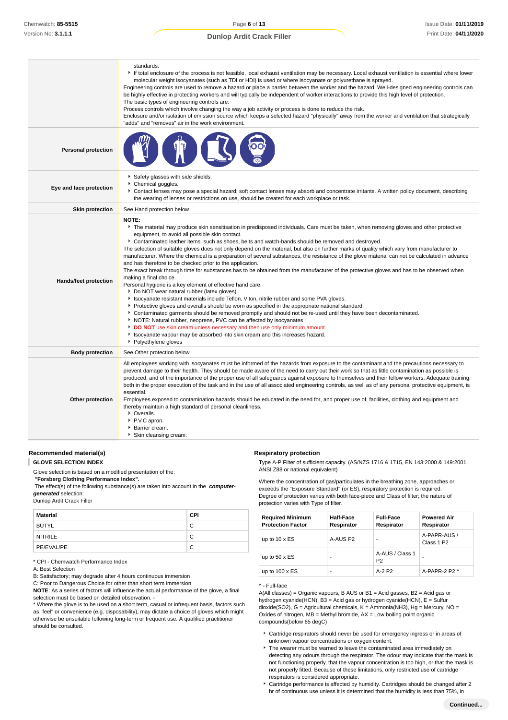|                            | standards.<br>If total enclosure of the process is not feasible, local exhaust ventilation may be necessary. Local exhaust ventilation is essential where lower<br>molecular weight isocyanates (such as TDI or HDI) is used or where isocyanate or polyurethane is sprayed.<br>Engineering controls are used to remove a hazard or place a barrier between the worker and the hazard. Well-designed engineering controls can<br>be highly effective in protecting workers and will typically be independent of worker interactions to provide this high level of protection.<br>The basic types of engineering controls are:<br>Process controls which involve changing the way a job activity or process is done to reduce the risk.<br>Enclosure and/or isolation of emission source which keeps a selected hazard "physically" away from the worker and ventilation that strategically<br>"adds" and "removes" air in the work environment.                                                                                                                                                                                                                                                                                                                                                                                                                                                                                                                                                                                                  |
|----------------------------|--------------------------------------------------------------------------------------------------------------------------------------------------------------------------------------------------------------------------------------------------------------------------------------------------------------------------------------------------------------------------------------------------------------------------------------------------------------------------------------------------------------------------------------------------------------------------------------------------------------------------------------------------------------------------------------------------------------------------------------------------------------------------------------------------------------------------------------------------------------------------------------------------------------------------------------------------------------------------------------------------------------------------------------------------------------------------------------------------------------------------------------------------------------------------------------------------------------------------------------------------------------------------------------------------------------------------------------------------------------------------------------------------------------------------------------------------------------------------------------------------------------------------------------------------|
| <b>Personal protection</b> |                                                                                                                                                                                                                                                                                                                                                                                                                                                                                                                                                                                                                                                                                                                                                                                                                                                                                                                                                                                                                                                                                                                                                                                                                                                                                                                                                                                                                                                                                                                                                  |
| Eye and face protection    | Safety glasses with side shields.<br>Chemical goggles.<br>Contact lenses may pose a special hazard; soft contact lenses may absorb and concentrate irritants. A written policy document, describing<br>the wearing of lenses or restrictions on use, should be created for each workplace or task.                                                                                                                                                                                                                                                                                                                                                                                                                                                                                                                                                                                                                                                                                                                                                                                                                                                                                                                                                                                                                                                                                                                                                                                                                                               |
| <b>Skin protection</b>     | See Hand protection below                                                                                                                                                                                                                                                                                                                                                                                                                                                                                                                                                                                                                                                                                                                                                                                                                                                                                                                                                                                                                                                                                                                                                                                                                                                                                                                                                                                                                                                                                                                        |
| Hands/feet protection      | NOTE:<br>The material may produce skin sensitisation in predisposed individuals. Care must be taken, when removing gloves and other protective<br>equipment, to avoid all possible skin contact.<br>• Contaminated leather items, such as shoes, belts and watch-bands should be removed and destroyed.<br>The selection of suitable gloves does not only depend on the material, but also on further marks of quality which vary from manufacturer to<br>manufacturer. Where the chemical is a preparation of several substances, the resistance of the glove material can not be calculated in advance<br>and has therefore to be checked prior to the application.<br>The exact break through time for substances has to be obtained from the manufacturer of the protective gloves and has to be observed when<br>making a final choice.<br>Personal hygiene is a key element of effective hand care.<br>▶ Do NOT wear natural rubber (latex gloves).<br>In Isocyanate resistant materials include Teflon, Viton, nitrile rubber and some PVA gloves.<br>Protective gloves and overalls should be worn as specified in the appropriate national standard.<br>▶ Contaminated garments should be removed promptly and should not be re-used until they have been decontaminated.<br>NOTE: Natural rubber, neoprene, PVC can be affected by isocyanates<br>DO NOT use skin cream unless necessary and then use only minimum amount.<br>In Isocyanate vapour may be absorbed into skin cream and this increases hazard.<br>▶ Polyethylene gloves |
| <b>Body protection</b>     | See Other protection below                                                                                                                                                                                                                                                                                                                                                                                                                                                                                                                                                                                                                                                                                                                                                                                                                                                                                                                                                                                                                                                                                                                                                                                                                                                                                                                                                                                                                                                                                                                       |
| Other protection           | All employees working with isocyanates must be informed of the hazards from exposure to the contaminant and the precautions necessary to<br>prevent damage to their health. They should be made aware of the need to carry out their work so that as little contamination as possible is<br>produced, and of the importance of the proper use of all safeguards against exposure to themselves and their fellow workers. Adequate training,<br>both in the proper execution of the task and in the use of all associated engineering controls, as well as of any personal protective equipment, is<br>essential.<br>Employees exposed to contamination hazards should be educated in the need for, and proper use of, facilities, clothing and equipment and<br>thereby maintain a high standard of personal cleanliness.<br>Cveralls.<br>P.V.C apron.<br>▶ Barrier cream.<br>Skin cleansing cream.                                                                                                                                                                                                                                                                                                                                                                                                                                                                                                                                                                                                                                              |

**GLOVE SELECTION INDEX** Glove selection is based on a modified presentation of the:

**Recommended material(s)**

ı

 **"Forsberg Clothing Performance Index".**

 The effect(s) of the following substance(s) are taken into account in the **computergenerated** selection:

Dunlop Ardit Crack Filler

| Material       | <b>CPI</b> |
|----------------|------------|
| <b>BUTYL</b>   | C          |
| <b>NITRILE</b> | C          |
| PE/EVAL/PE     | C          |

\* CPI - Chemwatch Performance Index

A: Best Selection

B: Satisfactory; may degrade after 4 hours continuous immersion

C: Poor to Dangerous Choice for other than short term immersion

**NOTE**: As a series of factors will influence the actual performance of the glove, a final selection must be based on detailed observation. -

\* Where the glove is to be used on a short term, casual or infrequent basis, factors such as "feel" or convenience (e.g. disposability), may dictate a choice of gloves which might otherwise be unsuitable following long-term or frequent use. A qualified practitioner should be consulted.

#### **Respiratory protection**

Type A-P Filter of sufficient capacity. (AS/NZS 1716 & 1715, EN 143:2000 & 149:2001, ANSI Z88 or national equivalent)

Where the concentration of gas/particulates in the breathing zone, approaches or exceeds the "Exposure Standard" (or ES), respiratory protection is required. Degree of protection varies with both face-piece and Class of filter; the nature of protection varies with Type of filter.

| <b>Required Minimum</b><br><b>Protection Factor</b> | <b>Half-Face</b><br>Respirator | <b>Full-Face</b><br>Respirator    | <b>Powered Air</b><br>Respirator       |
|-----------------------------------------------------|--------------------------------|-----------------------------------|----------------------------------------|
| up to $10 \times ES$                                | A-AUS P2                       | ۰                                 | A-PAPR-AUS /<br>Class 1 P <sub>2</sub> |
| up to $50 \times ES$                                |                                | A-AUS / Class 1<br>P <sub>2</sub> |                                        |
| up to $100 \times ES$                               |                                | $A-2$ P <sub>2</sub>              | A-PAPR-2 P2 $\land$                    |

#### ^ - Full-face

A(All classes) = Organic vapours, B AUS or B1 = Acid gasses, B2 = Acid gas or hydrogen cyanide(HCN), B3 = Acid gas or hydrogen cyanide(HCN), E = Sulfur dioxide(SO2), G = Agricultural chemicals, K = Ammonia(NH3), Hg = Mercury, NO = Oxides of nitrogen,  $MB =$  Methyl bromide,  $AX =$  Low boiling point organic compounds(below 65 degC)

- Cartridge respirators should never be used for emergency ingress or in areas of unknown vapour concentrations or oxygen content.
- $\triangleright$  The wearer must be warned to leave the contaminated area immediately on detecting any odours through the respirator. The odour may indicate that the mask is not functioning properly, that the vapour concentration is too high, or that the mask is not properly fitted. Because of these limitations, only restricted use of cartridge respirators is considered appropriate.
- Cartridge performance is affected by humidity. Cartridges should be changed after 2 hr of continuous use unless it is determined that the humidity is less than 75%, in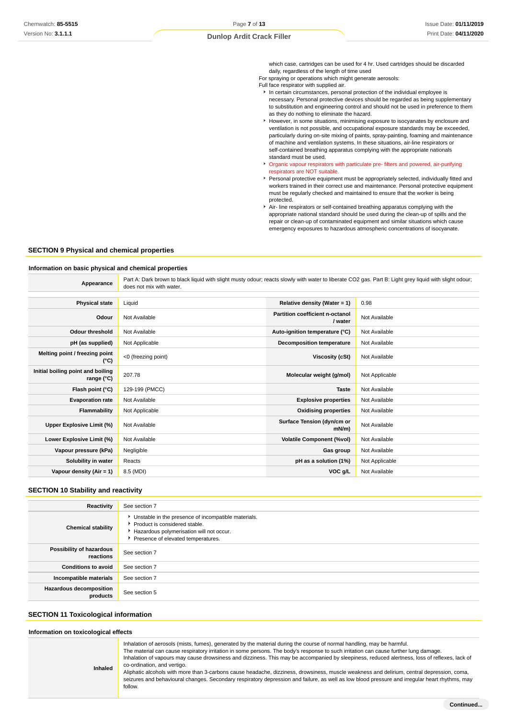which case, cartridges can be used for 4 hr. Used cartridges should be discarded daily, regardless of the length of time used

For spraying or operations which might generate aerosols:

Full face respirator with supplied air.

- $\blacktriangleright$  In certain circumstances, personal protection of the individual employee is necessary. Personal protective devices should be regarded as being supplementary to substitution and engineering control and should not be used in preference to them as they do nothing to eliminate the hazard.
- However, in some situations, minimising exposure to isocyanates by enclosure and ventilation is not possible, and occupational exposure standards may be exceeded, particularly during on-site mixing of paints, spray-painting, foaming and maintenance of machine and ventilation systems. In these situations, air-line respirators or self-contained breathing apparatus complying with the appropriate nationals standard must be used.
- Organic vapour respirators with particulate pre- filters and powered, air-purifying respirators are NOT suitable.
- Personal protective equipment must be appropriately selected, individually fitted and workers trained in their correct use and maintenance. Personal protective equipment must be regularly checked and maintained to ensure that the worker is being protected.
- Air- line respirators or self-contained breathing apparatus complying with the appropriate national standard should be used during the clean-up of spills and the repair or clean-up of contaminated equipment and similar situations which cause emergency exposures to hazardous atmospheric concentrations of isocyanate.

#### **SECTION 9 Physical and chemical properties**

#### **Information on basic physical and chemical properties**

**Appearance** Part A: Dark brown to black liquid with slight musty odour; reacts slowly with water to liberate CO2 gas. Part B: Light grey liquid with slight odour; does not mix with water.

| <b>Physical state</b>                           | Liquid              | Relative density (Water = $1$ )            | 0.98           |
|-------------------------------------------------|---------------------|--------------------------------------------|----------------|
| Odour                                           | Not Available       | Partition coefficient n-octanol<br>/ water | Not Available  |
| Odour threshold                                 | Not Available       | Auto-ignition temperature (°C)             | Not Available  |
| pH (as supplied)                                | Not Applicable      | <b>Decomposition temperature</b>           | Not Available  |
| Melting point / freezing point<br>(°C)          | <0 (freezing point) | Viscosity (cSt)                            | Not Available  |
| Initial boiling point and boiling<br>range (°C) | 207.78              | Molecular weight (g/mol)                   | Not Applicable |
| Flash point (°C)                                | 129-199 (PMCC)      | <b>Taste</b>                               | Not Available  |
| <b>Evaporation rate</b>                         | Not Available       | <b>Explosive properties</b>                | Not Available  |
| Flammability                                    | Not Applicable      | <b>Oxidising properties</b>                | Not Available  |
| Upper Explosive Limit (%)                       | Not Available       | Surface Tension (dyn/cm or<br>$mN/m$ )     | Not Available  |
| Lower Explosive Limit (%)                       | Not Available       | <b>Volatile Component (%vol)</b>           | Not Available  |
| Vapour pressure (kPa)                           | Negligible          | Gas group                                  | Not Available  |
| Solubility in water                             | Reacts              | pH as a solution (1%)                      | Not Applicable |
| Vapour density (Air = 1)                        | 8.5 (MDI)           | VOC g/L                                    | Not Available  |

# **SECTION 10 Stability and reactivity**

| Reactivity                                 | See section 7                                                                                                                                                          |
|--------------------------------------------|------------------------------------------------------------------------------------------------------------------------------------------------------------------------|
| <b>Chemical stability</b>                  | Unstable in the presence of incompatible materials.<br>Product is considered stable.<br>Hazardous polymerisation will not occur.<br>Presence of elevated temperatures. |
| Possibility of hazardous<br>reactions      | See section 7                                                                                                                                                          |
| <b>Conditions to avoid</b>                 | See section 7                                                                                                                                                          |
| Incompatible materials                     | See section 7                                                                                                                                                          |
| <b>Hazardous decomposition</b><br>products | See section 5                                                                                                                                                          |

#### **SECTION 11 Toxicological information**

#### **Information on toxicological effects**

| Inhaled | Inhalation of aerosols (mists, fumes), generated by the material during the course of normal handling, may be harmful.<br>The material can cause respiratory irritation in some persons. The body's response to such irritation can cause further lung damage.<br>Inhalation of vapours may cause drowsiness and dizziness. This may be accompanied by sleepiness, reduced alertness, loss of reflexes, lack of<br>co-ordination, and vertigo.<br>Aliphatic alcohols with more than 3-carbons cause headache, dizziness, drowsiness, muscle weakness and delirium, central depression, coma,<br>seizures and behavioural changes. Secondary respiratory depression and failure, as well as low blood pressure and irregular heart rhythms, may<br>follow. |
|---------|-----------------------------------------------------------------------------------------------------------------------------------------------------------------------------------------------------------------------------------------------------------------------------------------------------------------------------------------------------------------------------------------------------------------------------------------------------------------------------------------------------------------------------------------------------------------------------------------------------------------------------------------------------------------------------------------------------------------------------------------------------------|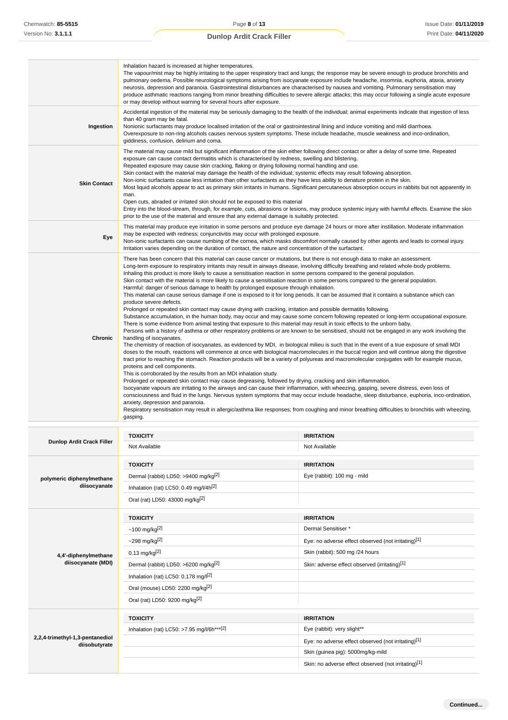| Chemwatch: 85-5515                               | Page 8 of 13                                                                                                                                                                                                                                                                                                                                                                                                                                                                                                                                                                                                                                                                                                                                                                                                                                                                                                                                                                                                                                                                                                                                                                                                                                                                                                                                                                                                                                                                                                                                                                                                                                                                                                                                                                                                                                                                                                                                                                                                                                                                                                                                                                                                                                                                                                                                                                                                                                                                                                                                                        |                                                                                                                                                                                                                                                                                                                                                                                                                                                                                                                                                                                           | Issue Date: 01/11/201 |
|--------------------------------------------------|---------------------------------------------------------------------------------------------------------------------------------------------------------------------------------------------------------------------------------------------------------------------------------------------------------------------------------------------------------------------------------------------------------------------------------------------------------------------------------------------------------------------------------------------------------------------------------------------------------------------------------------------------------------------------------------------------------------------------------------------------------------------------------------------------------------------------------------------------------------------------------------------------------------------------------------------------------------------------------------------------------------------------------------------------------------------------------------------------------------------------------------------------------------------------------------------------------------------------------------------------------------------------------------------------------------------------------------------------------------------------------------------------------------------------------------------------------------------------------------------------------------------------------------------------------------------------------------------------------------------------------------------------------------------------------------------------------------------------------------------------------------------------------------------------------------------------------------------------------------------------------------------------------------------------------------------------------------------------------------------------------------------------------------------------------------------------------------------------------------------------------------------------------------------------------------------------------------------------------------------------------------------------------------------------------------------------------------------------------------------------------------------------------------------------------------------------------------------------------------------------------------------------------------------------------------------|-------------------------------------------------------------------------------------------------------------------------------------------------------------------------------------------------------------------------------------------------------------------------------------------------------------------------------------------------------------------------------------------------------------------------------------------------------------------------------------------------------------------------------------------------------------------------------------------|-----------------------|
| Version No: 3.1.1.1                              | <b>Dunlop Ardit Crack Filler</b>                                                                                                                                                                                                                                                                                                                                                                                                                                                                                                                                                                                                                                                                                                                                                                                                                                                                                                                                                                                                                                                                                                                                                                                                                                                                                                                                                                                                                                                                                                                                                                                                                                                                                                                                                                                                                                                                                                                                                                                                                                                                                                                                                                                                                                                                                                                                                                                                                                                                                                                                    |                                                                                                                                                                                                                                                                                                                                                                                                                                                                                                                                                                                           | Print Date: 04/11/202 |
|                                                  | Inhalation hazard is increased at higher temperatures.<br>or may develop without warning for several hours after exposure.                                                                                                                                                                                                                                                                                                                                                                                                                                                                                                                                                                                                                                                                                                                                                                                                                                                                                                                                                                                                                                                                                                                                                                                                                                                                                                                                                                                                                                                                                                                                                                                                                                                                                                                                                                                                                                                                                                                                                                                                                                                                                                                                                                                                                                                                                                                                                                                                                                          | The vapour/mist may be highly irritating to the upper respiratory tract and lungs; the response may be severe enough to produce bronchitis and<br>pulmonary oedema. Possible neurological symptoms arising from isocyanate exposure include headache, insomnia, euphoria, ataxia, anxiety<br>neurosis, depression and paranoia. Gastrointestinal disturbances are characterised by nausea and vomiting. Pulmonary sensitisation may<br>produce asthmatic reactions ranging from minor breathing difficulties to severe allergic attacks; this may occur following a single acute exposure |                       |
| Ingestion                                        | Accidental ingestion of the material may be seriously damaging to the health of the individual; animal experiments indicate that ingestion of less<br>than 40 gram may be fatal.<br>Nonionic surfactants may produce localised irritation of the oral or gastrointestinal lining and induce vomiting and mild diarrhoea.<br>Overexposure to non-ring alcohols causes nervous system symptoms. These include headache, muscle weakness and inco-ordination,<br>giddiness, confusion, delirium and coma.                                                                                                                                                                                                                                                                                                                                                                                                                                                                                                                                                                                                                                                                                                                                                                                                                                                                                                                                                                                                                                                                                                                                                                                                                                                                                                                                                                                                                                                                                                                                                                                                                                                                                                                                                                                                                                                                                                                                                                                                                                                              |                                                                                                                                                                                                                                                                                                                                                                                                                                                                                                                                                                                           |                       |
| <b>Skin Contact</b>                              | The material may cause mild but significant inflammation of the skin either following direct contact or after a delay of some time. Repeated<br>exposure can cause contact dermatitis which is characterised by redness, swelling and blistering.<br>Repeated exposure may cause skin cracking, flaking or drying following normal handling and use.<br>Skin contact with the material may damage the health of the individual; systemic effects may result following absorption.<br>Non-ionic surfactants cause less irritation than other surfactants as they have less ability to denature protein in the skin.<br>Most liquid alcohols appear to act as primary skin irritants in humans. Significant percutaneous absorption occurs in rabbits but not apparently in<br>man.<br>Open cuts, abraded or irritated skin should not be exposed to this material<br>Entry into the blood-stream, through, for example, cuts, abrasions or lesions, may produce systemic injury with harmful effects. Examine the skin<br>prior to the use of the material and ensure that any external damage is suitably protected.                                                                                                                                                                                                                                                                                                                                                                                                                                                                                                                                                                                                                                                                                                                                                                                                                                                                                                                                                                                                                                                                                                                                                                                                                                                                                                                                                                                                                                                |                                                                                                                                                                                                                                                                                                                                                                                                                                                                                                                                                                                           |                       |
| Eye                                              | may be expected with redness; conjunctivitis may occur with prolonged exposure.<br>Irritation varies depending on the duration of contact, the nature and concentration of the surfactant.                                                                                                                                                                                                                                                                                                                                                                                                                                                                                                                                                                                                                                                                                                                                                                                                                                                                                                                                                                                                                                                                                                                                                                                                                                                                                                                                                                                                                                                                                                                                                                                                                                                                                                                                                                                                                                                                                                                                                                                                                                                                                                                                                                                                                                                                                                                                                                          | This material may produce eye irritation in some persons and produce eye damage 24 hours or more after instillation. Moderate inflammation<br>Non-ionic surfactants can cause numbing of the cornea, which masks discomfort normally caused by other agents and leads to corneal injury.                                                                                                                                                                                                                                                                                                  |                       |
| Chronic                                          | There has been concern that this material can cause cancer or mutations, but there is not enough data to make an assessment.<br>Long-term exposure to respiratory irritants may result in airways disease, involving difficulty breathing and related whole-body problems.<br>Inhaling this product is more likely to cause a sensitisation reaction in some persons compared to the general population.<br>Skin contact with the material is more likely to cause a sensitisation reaction in some persons compared to the general population.<br>Harmful: danger of serious damage to health by prolonged exposure through inhalation.<br>This material can cause serious damage if one is exposed to it for long periods. It can be assumed that it contains a substance which can<br>produce severe defects.<br>Prolonged or repeated skin contact may cause drying with cracking, irritation and possible dermatitis following.<br>Substance accumulation, in the human body, may occur and may cause some concern following repeated or long-term occupational exposure.<br>There is some evidence from animal testing that exposure to this material may result in toxic effects to the unborn baby.<br>Persons with a history of asthma or other respiratory problems or are known to be sensitised, should not be engaged in any work involving the<br>handling of isocyanates.<br>The chemistry of reaction of isocyanates, as evidenced by MDI, in biological milieu is such that in the event of a true exposure of small MDI<br>doses to the mouth, reactions will commence at once with biological macromolecules in the buccal region and will continue along the digestive<br>tract prior to reaching the stomach. Reaction products will be a variety of polyureas and macromolecular conjugates with for example mucus,<br>proteins and cell components.<br>This is corroborated by the results from an MDI inhalation study.<br>Prolonged or repeated skin contact may cause degreasing, followed by drying, cracking and skin inflammation.<br>Isocyanate vapours are irritating to the airways and can cause their inflammation, with wheezing, gasping, severe distress, even loss of<br>consciousness and fluid in the lungs. Nervous system symptoms that may occur include headache, sleep disturbance, euphoria, inco-ordination,<br>anxiety, depression and paranoia.<br>Respiratory sensitisation may result in allergic/asthma like responses; from coughing and minor breathing difficulties to bronchitis with wheezing,<br>gasping. |                                                                                                                                                                                                                                                                                                                                                                                                                                                                                                                                                                                           |                       |
|                                                  |                                                                                                                                                                                                                                                                                                                                                                                                                                                                                                                                                                                                                                                                                                                                                                                                                                                                                                                                                                                                                                                                                                                                                                                                                                                                                                                                                                                                                                                                                                                                                                                                                                                                                                                                                                                                                                                                                                                                                                                                                                                                                                                                                                                                                                                                                                                                                                                                                                                                                                                                                                     |                                                                                                                                                                                                                                                                                                                                                                                                                                                                                                                                                                                           |                       |
| <b>Dunlop Ardit Crack Filler</b>                 | <b>TOXICITY</b><br>Not Available                                                                                                                                                                                                                                                                                                                                                                                                                                                                                                                                                                                                                                                                                                                                                                                                                                                                                                                                                                                                                                                                                                                                                                                                                                                                                                                                                                                                                                                                                                                                                                                                                                                                                                                                                                                                                                                                                                                                                                                                                                                                                                                                                                                                                                                                                                                                                                                                                                                                                                                                    | <b>IRRITATION</b><br>Not Available                                                                                                                                                                                                                                                                                                                                                                                                                                                                                                                                                        |                       |
| polymeric diphenylmethane<br>diisocyanate        | <b>TOXICITY</b><br>Dermal (rabbit) LD50: >9400 mg/kg <sup>[2]</sup><br>Inhalation (rat) LC50: 0.49 mg/l/4h <sup>[2]</sup><br>Oral (rat) LD50: 43000 mg/kg <sup>[2]</sup>                                                                                                                                                                                                                                                                                                                                                                                                                                                                                                                                                                                                                                                                                                                                                                                                                                                                                                                                                                                                                                                                                                                                                                                                                                                                                                                                                                                                                                                                                                                                                                                                                                                                                                                                                                                                                                                                                                                                                                                                                                                                                                                                                                                                                                                                                                                                                                                            | <b>IRRITATION</b><br>Eye (rabbit): 100 mg - mild                                                                                                                                                                                                                                                                                                                                                                                                                                                                                                                                          |                       |
| 4,4'-diphenylmethane<br>diisocyanate (MDI)       | <b>TOXICITY</b><br>~100 mg/kg $^{[2]}$<br>~298~mg/kg <sup>[2]</sup><br>$0.13$ mg/kg <sup>[2]</sup><br>Dermal (rabbit) LD50: >6200 mg/kg <sup>[2]</sup><br>Inhalation (rat) LC50: $0.178$ mg/l <sup>[2]</sup><br>Oral (mouse) LD50: 2200 mg/kg <sup>[2]</sup><br>Oral (rat) LD50: 9200 mg/kg <sup>[2]</sup>                                                                                                                                                                                                                                                                                                                                                                                                                                                                                                                                                                                                                                                                                                                                                                                                                                                                                                                                                                                                                                                                                                                                                                                                                                                                                                                                                                                                                                                                                                                                                                                                                                                                                                                                                                                                                                                                                                                                                                                                                                                                                                                                                                                                                                                          | <b>IRRITATION</b><br>Dermal Sensitiser *<br>Eye: no adverse effect observed (not irritating)[1]<br>Skin (rabbit): 500 mg /24 hours<br>Skin: adverse effect observed (irritating)[1]                                                                                                                                                                                                                                                                                                                                                                                                       |                       |
| 2,2,4-trimethyl-1,3-pentanediol<br>diisobutyrate | <b>TOXICITY</b><br>Inhalation (rat) LC50: >7.95 mg/l/6h***[2]                                                                                                                                                                                                                                                                                                                                                                                                                                                                                                                                                                                                                                                                                                                                                                                                                                                                                                                                                                                                                                                                                                                                                                                                                                                                                                                                                                                                                                                                                                                                                                                                                                                                                                                                                                                                                                                                                                                                                                                                                                                                                                                                                                                                                                                                                                                                                                                                                                                                                                       | <b>IRRITATION</b><br>Eye (rabbit): very slight**<br>Eye: no adverse effect observed (not irritating)[1]<br>Skin (guinea pig): 5000mg/kg-mild<br>Skin: no adverse effect observed (not irritating)[1]                                                                                                                                                                                                                                                                                                                                                                                      |                       |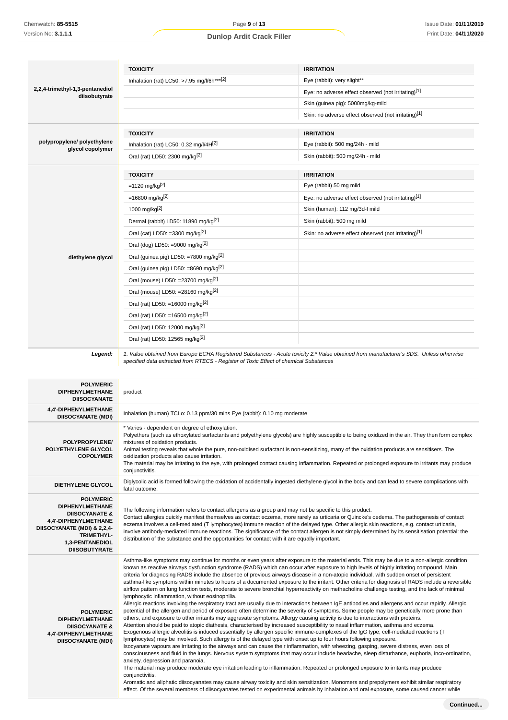|                                                                                                                                                                                                | <b>TOXICITY</b>                                                                                                                                                                                                                                                                                                                                                                                                                                                                                                                                                                                                                                                                                                                                                                                                                                                                                                                                                                                                                                                                                                                                                                                                                                                                                                                                                                                                                                                                                                                                                                                                                                                                                                                                                                                                                                                                                                                                                                                                                                                                                                                                                                                                                                                                | <b>IRRITATION</b>                                                                                                                      |  |
|------------------------------------------------------------------------------------------------------------------------------------------------------------------------------------------------|--------------------------------------------------------------------------------------------------------------------------------------------------------------------------------------------------------------------------------------------------------------------------------------------------------------------------------------------------------------------------------------------------------------------------------------------------------------------------------------------------------------------------------------------------------------------------------------------------------------------------------------------------------------------------------------------------------------------------------------------------------------------------------------------------------------------------------------------------------------------------------------------------------------------------------------------------------------------------------------------------------------------------------------------------------------------------------------------------------------------------------------------------------------------------------------------------------------------------------------------------------------------------------------------------------------------------------------------------------------------------------------------------------------------------------------------------------------------------------------------------------------------------------------------------------------------------------------------------------------------------------------------------------------------------------------------------------------------------------------------------------------------------------------------------------------------------------------------------------------------------------------------------------------------------------------------------------------------------------------------------------------------------------------------------------------------------------------------------------------------------------------------------------------------------------------------------------------------------------------------------------------------------------|----------------------------------------------------------------------------------------------------------------------------------------|--|
|                                                                                                                                                                                                | Inhalation (rat) LC50: >7.95 mg/l/6h***[2]                                                                                                                                                                                                                                                                                                                                                                                                                                                                                                                                                                                                                                                                                                                                                                                                                                                                                                                                                                                                                                                                                                                                                                                                                                                                                                                                                                                                                                                                                                                                                                                                                                                                                                                                                                                                                                                                                                                                                                                                                                                                                                                                                                                                                                     | Eye (rabbit): very slight**                                                                                                            |  |
| 2,2,4-trimethyl-1,3-pentanediol<br>diisobutyrate                                                                                                                                               |                                                                                                                                                                                                                                                                                                                                                                                                                                                                                                                                                                                                                                                                                                                                                                                                                                                                                                                                                                                                                                                                                                                                                                                                                                                                                                                                                                                                                                                                                                                                                                                                                                                                                                                                                                                                                                                                                                                                                                                                                                                                                                                                                                                                                                                                                | Eye: no adverse effect observed (not irritating)[1]                                                                                    |  |
|                                                                                                                                                                                                |                                                                                                                                                                                                                                                                                                                                                                                                                                                                                                                                                                                                                                                                                                                                                                                                                                                                                                                                                                                                                                                                                                                                                                                                                                                                                                                                                                                                                                                                                                                                                                                                                                                                                                                                                                                                                                                                                                                                                                                                                                                                                                                                                                                                                                                                                | Skin (guinea pig): 5000mg/kg-mild                                                                                                      |  |
|                                                                                                                                                                                                |                                                                                                                                                                                                                                                                                                                                                                                                                                                                                                                                                                                                                                                                                                                                                                                                                                                                                                                                                                                                                                                                                                                                                                                                                                                                                                                                                                                                                                                                                                                                                                                                                                                                                                                                                                                                                                                                                                                                                                                                                                                                                                                                                                                                                                                                                | Skin: no adverse effect observed (not irritating)[1]                                                                                   |  |
|                                                                                                                                                                                                | <b>TOXICITY</b>                                                                                                                                                                                                                                                                                                                                                                                                                                                                                                                                                                                                                                                                                                                                                                                                                                                                                                                                                                                                                                                                                                                                                                                                                                                                                                                                                                                                                                                                                                                                                                                                                                                                                                                                                                                                                                                                                                                                                                                                                                                                                                                                                                                                                                                                | <b>IRRITATION</b>                                                                                                                      |  |
| polypropylene/ polyethylene                                                                                                                                                                    | Inhalation (rat) LC50: 0.32 mg/l/4H <sup>[2]</sup>                                                                                                                                                                                                                                                                                                                                                                                                                                                                                                                                                                                                                                                                                                                                                                                                                                                                                                                                                                                                                                                                                                                                                                                                                                                                                                                                                                                                                                                                                                                                                                                                                                                                                                                                                                                                                                                                                                                                                                                                                                                                                                                                                                                                                             | Eye (rabbit): 500 mg/24h - mild                                                                                                        |  |
| glycol copolymer                                                                                                                                                                               | Oral (rat) LD50: 2300 mg/kg <sup>[2]</sup>                                                                                                                                                                                                                                                                                                                                                                                                                                                                                                                                                                                                                                                                                                                                                                                                                                                                                                                                                                                                                                                                                                                                                                                                                                                                                                                                                                                                                                                                                                                                                                                                                                                                                                                                                                                                                                                                                                                                                                                                                                                                                                                                                                                                                                     | Skin (rabbit): 500 mg/24h - mild                                                                                                       |  |
|                                                                                                                                                                                                | <b>TOXICITY</b>                                                                                                                                                                                                                                                                                                                                                                                                                                                                                                                                                                                                                                                                                                                                                                                                                                                                                                                                                                                                                                                                                                                                                                                                                                                                                                                                                                                                                                                                                                                                                                                                                                                                                                                                                                                                                                                                                                                                                                                                                                                                                                                                                                                                                                                                | <b>IRRITATION</b>                                                                                                                      |  |
|                                                                                                                                                                                                | =1120 mg/kg <sup>[2]</sup>                                                                                                                                                                                                                                                                                                                                                                                                                                                                                                                                                                                                                                                                                                                                                                                                                                                                                                                                                                                                                                                                                                                                                                                                                                                                                                                                                                                                                                                                                                                                                                                                                                                                                                                                                                                                                                                                                                                                                                                                                                                                                                                                                                                                                                                     | Eye (rabbit) 50 mg mild                                                                                                                |  |
|                                                                                                                                                                                                | =16800 mg/kg <sup>[2]</sup>                                                                                                                                                                                                                                                                                                                                                                                                                                                                                                                                                                                                                                                                                                                                                                                                                                                                                                                                                                                                                                                                                                                                                                                                                                                                                                                                                                                                                                                                                                                                                                                                                                                                                                                                                                                                                                                                                                                                                                                                                                                                                                                                                                                                                                                    | Eye: no adverse effect observed (not irritating)[1]                                                                                    |  |
|                                                                                                                                                                                                | 1000 mg/kg[2]                                                                                                                                                                                                                                                                                                                                                                                                                                                                                                                                                                                                                                                                                                                                                                                                                                                                                                                                                                                                                                                                                                                                                                                                                                                                                                                                                                                                                                                                                                                                                                                                                                                                                                                                                                                                                                                                                                                                                                                                                                                                                                                                                                                                                                                                  | Skin (human): 112 mg/3d-l mild                                                                                                         |  |
|                                                                                                                                                                                                | Dermal (rabbit) LD50: 11890 mg/kg <sup>[2]</sup>                                                                                                                                                                                                                                                                                                                                                                                                                                                                                                                                                                                                                                                                                                                                                                                                                                                                                                                                                                                                                                                                                                                                                                                                                                                                                                                                                                                                                                                                                                                                                                                                                                                                                                                                                                                                                                                                                                                                                                                                                                                                                                                                                                                                                               | Skin (rabbit): 500 mg mild                                                                                                             |  |
|                                                                                                                                                                                                | Oral (cat) LD50: =3300 mg/kg $^{[2]}$                                                                                                                                                                                                                                                                                                                                                                                                                                                                                                                                                                                                                                                                                                                                                                                                                                                                                                                                                                                                                                                                                                                                                                                                                                                                                                                                                                                                                                                                                                                                                                                                                                                                                                                                                                                                                                                                                                                                                                                                                                                                                                                                                                                                                                          | Skin: no adverse effect observed (not irritating)[1]                                                                                   |  |
|                                                                                                                                                                                                | Oral (dog) LD50: =9000 mg/kg <sup>[2]</sup>                                                                                                                                                                                                                                                                                                                                                                                                                                                                                                                                                                                                                                                                                                                                                                                                                                                                                                                                                                                                                                                                                                                                                                                                                                                                                                                                                                                                                                                                                                                                                                                                                                                                                                                                                                                                                                                                                                                                                                                                                                                                                                                                                                                                                                    |                                                                                                                                        |  |
| diethylene glycol                                                                                                                                                                              | Oral (guinea pig) LD50: =7800 mg/kg <sup>[2]</sup>                                                                                                                                                                                                                                                                                                                                                                                                                                                                                                                                                                                                                                                                                                                                                                                                                                                                                                                                                                                                                                                                                                                                                                                                                                                                                                                                                                                                                                                                                                                                                                                                                                                                                                                                                                                                                                                                                                                                                                                                                                                                                                                                                                                                                             |                                                                                                                                        |  |
|                                                                                                                                                                                                | Oral (guinea pig) LD50: =8690 mg/kg <sup>[2]</sup>                                                                                                                                                                                                                                                                                                                                                                                                                                                                                                                                                                                                                                                                                                                                                                                                                                                                                                                                                                                                                                                                                                                                                                                                                                                                                                                                                                                                                                                                                                                                                                                                                                                                                                                                                                                                                                                                                                                                                                                                                                                                                                                                                                                                                             |                                                                                                                                        |  |
|                                                                                                                                                                                                | Oral (mouse) LD50: =23700 mg/kg <sup>[2]</sup>                                                                                                                                                                                                                                                                                                                                                                                                                                                                                                                                                                                                                                                                                                                                                                                                                                                                                                                                                                                                                                                                                                                                                                                                                                                                                                                                                                                                                                                                                                                                                                                                                                                                                                                                                                                                                                                                                                                                                                                                                                                                                                                                                                                                                                 |                                                                                                                                        |  |
|                                                                                                                                                                                                | Oral (mouse) LD50: =28160 mg/kg <sup>[2]</sup>                                                                                                                                                                                                                                                                                                                                                                                                                                                                                                                                                                                                                                                                                                                                                                                                                                                                                                                                                                                                                                                                                                                                                                                                                                                                                                                                                                                                                                                                                                                                                                                                                                                                                                                                                                                                                                                                                                                                                                                                                                                                                                                                                                                                                                 |                                                                                                                                        |  |
|                                                                                                                                                                                                | Oral (rat) LD50: =16000 mg/kg <sup>[2]</sup>                                                                                                                                                                                                                                                                                                                                                                                                                                                                                                                                                                                                                                                                                                                                                                                                                                                                                                                                                                                                                                                                                                                                                                                                                                                                                                                                                                                                                                                                                                                                                                                                                                                                                                                                                                                                                                                                                                                                                                                                                                                                                                                                                                                                                                   |                                                                                                                                        |  |
|                                                                                                                                                                                                | Oral (rat) LD50: =16500 mg/kg <sup>[2]</sup>                                                                                                                                                                                                                                                                                                                                                                                                                                                                                                                                                                                                                                                                                                                                                                                                                                                                                                                                                                                                                                                                                                                                                                                                                                                                                                                                                                                                                                                                                                                                                                                                                                                                                                                                                                                                                                                                                                                                                                                                                                                                                                                                                                                                                                   |                                                                                                                                        |  |
|                                                                                                                                                                                                | Oral (rat) LD50: 12000 mg/kg <sup>[2]</sup>                                                                                                                                                                                                                                                                                                                                                                                                                                                                                                                                                                                                                                                                                                                                                                                                                                                                                                                                                                                                                                                                                                                                                                                                                                                                                                                                                                                                                                                                                                                                                                                                                                                                                                                                                                                                                                                                                                                                                                                                                                                                                                                                                                                                                                    |                                                                                                                                        |  |
|                                                                                                                                                                                                | Oral (rat) LD50: 12565 mg/kg <sup>[2]</sup>                                                                                                                                                                                                                                                                                                                                                                                                                                                                                                                                                                                                                                                                                                                                                                                                                                                                                                                                                                                                                                                                                                                                                                                                                                                                                                                                                                                                                                                                                                                                                                                                                                                                                                                                                                                                                                                                                                                                                                                                                                                                                                                                                                                                                                    |                                                                                                                                        |  |
| Legend:                                                                                                                                                                                        | specified data extracted from RTECS - Register of Toxic Effect of chemical Substances                                                                                                                                                                                                                                                                                                                                                                                                                                                                                                                                                                                                                                                                                                                                                                                                                                                                                                                                                                                                                                                                                                                                                                                                                                                                                                                                                                                                                                                                                                                                                                                                                                                                                                                                                                                                                                                                                                                                                                                                                                                                                                                                                                                          | 1. Value obtained from Europe ECHA Registered Substances - Acute toxicity 2.* Value obtained from manufacturer's SDS. Unless otherwise |  |
|                                                                                                                                                                                                |                                                                                                                                                                                                                                                                                                                                                                                                                                                                                                                                                                                                                                                                                                                                                                                                                                                                                                                                                                                                                                                                                                                                                                                                                                                                                                                                                                                                                                                                                                                                                                                                                                                                                                                                                                                                                                                                                                                                                                                                                                                                                                                                                                                                                                                                                |                                                                                                                                        |  |
| <b>POLYMERIC</b><br><b>DIPHENYLMETHANE</b><br><b>DIISOCYANATE</b>                                                                                                                              | product                                                                                                                                                                                                                                                                                                                                                                                                                                                                                                                                                                                                                                                                                                                                                                                                                                                                                                                                                                                                                                                                                                                                                                                                                                                                                                                                                                                                                                                                                                                                                                                                                                                                                                                                                                                                                                                                                                                                                                                                                                                                                                                                                                                                                                                                        |                                                                                                                                        |  |
| 4,4'-DIPHENYLMETHANE<br><b>DIISOCYANATE (MDI)</b>                                                                                                                                              | Inhalation (human) TCLo: 0.13 ppm/30 mins Eye (rabbit): 0.10 mg moderate                                                                                                                                                                                                                                                                                                                                                                                                                                                                                                                                                                                                                                                                                                                                                                                                                                                                                                                                                                                                                                                                                                                                                                                                                                                                                                                                                                                                                                                                                                                                                                                                                                                                                                                                                                                                                                                                                                                                                                                                                                                                                                                                                                                                       |                                                                                                                                        |  |
| POLYPROPYLENE/<br>POLYETHYLENE GLYCOL<br><b>COPOLYMER</b>                                                                                                                                      | * Varies - dependent on degree of ethoxylation.<br>Polyethers (such as ethoxylated surfactants and polyethylene glycols) are highly susceptible to being oxidized in the air. They then form complex<br>mixtures of oxidation products.<br>Animal testing reveals that whole the pure, non-oxidised surfactant is non-sensitizing, many of the oxidation products are sensitisers. The<br>oxidization products also cause irritation.<br>The material may be irritating to the eye, with prolonged contact causing inflammation. Repeated or prolonged exposure to irritants may produce<br>conjunctivitis.                                                                                                                                                                                                                                                                                                                                                                                                                                                                                                                                                                                                                                                                                                                                                                                                                                                                                                                                                                                                                                                                                                                                                                                                                                                                                                                                                                                                                                                                                                                                                                                                                                                                    |                                                                                                                                        |  |
| <b>DIETHYLENE GLYCOL</b>                                                                                                                                                                       | Diglycolic acid is formed following the oxidation of accidentally ingested diethylene glycol in the body and can lead to severe complications with                                                                                                                                                                                                                                                                                                                                                                                                                                                                                                                                                                                                                                                                                                                                                                                                                                                                                                                                                                                                                                                                                                                                                                                                                                                                                                                                                                                                                                                                                                                                                                                                                                                                                                                                                                                                                                                                                                                                                                                                                                                                                                                             |                                                                                                                                        |  |
| <b>POLYMERIC</b><br><b>DIPHENYLMETHANE</b><br><b>DIISOCYANATE &amp;</b><br>4,4'-DIPHENYLMETHANE<br>DIISOCYANATE (MDI) & 2,2,4-<br><b>TRIMETHYL-</b><br>1,3-PENTANEDIOL<br><b>DIISOBUTYRATE</b> | fatal outcome.<br>The following information refers to contact allergens as a group and may not be specific to this product.<br>Contact allergies quickly manifest themselves as contact eczema, more rarely as urticaria or Quincke's oedema. The pathogenesis of contact<br>eczema involves a cell-mediated (T lymphocytes) immune reaction of the delayed type. Other allergic skin reactions, e.g. contact urticaria,<br>involve antibody-mediated immune reactions. The significance of the contact allergen is not simply determined by its sensitisation potential: the<br>distribution of the substance and the opportunities for contact with it are equally important.                                                                                                                                                                                                                                                                                                                                                                                                                                                                                                                                                                                                                                                                                                                                                                                                                                                                                                                                                                                                                                                                                                                                                                                                                                                                                                                                                                                                                                                                                                                                                                                                |                                                                                                                                        |  |
| <b>POLYMERIC</b><br><b>DIPHENYLMETHANE</b><br><b>DIISOCYANATE &amp;</b><br>4,4'-DIPHENYLMETHANE<br><b>DIISOCYANATE (MDI)</b>                                                                   | Asthma-like symptoms may continue for months or even years after exposure to the material ends. This may be due to a non-allergic condition<br>known as reactive airways dysfunction syndrome (RADS) which can occur after exposure to high levels of highly irritating compound. Main<br>criteria for diagnosing RADS include the absence of previous airways disease in a non-atopic individual, with sudden onset of persistent<br>asthma-like symptoms within minutes to hours of a documented exposure to the irritant. Other criteria for diagnosis of RADS include a reversible<br>airflow pattern on lung function tests, moderate to severe bronchial hyperreactivity on methacholine challenge testing, and the lack of minimal<br>lymphocytic inflammation, without eosinophilia.<br>Allergic reactions involving the respiratory tract are usually due to interactions between IgE antibodies and allergens and occur rapidly. Allergic<br>potential of the allergen and period of exposure often determine the severity of symptoms. Some people may be genetically more prone than<br>others, and exposure to other irritants may aggravate symptoms. Allergy causing activity is due to interactions with proteins.<br>Attention should be paid to atopic diathesis, characterised by increased susceptibility to nasal inflammation, asthma and eczema.<br>Exogenous allergic alveolitis is induced essentially by allergen specific immune-complexes of the IgG type; cell-mediated reactions (T<br>lymphocytes) may be involved. Such allergy is of the delayed type with onset up to four hours following exposure.<br>Isocyanate vapours are irritating to the airways and can cause their inflammation, with wheezing, gasping, severe distress, even loss of<br>consciousness and fluid in the lungs. Nervous system symptoms that may occur include headache, sleep disturbance, euphoria, inco-ordination,<br>anxiety, depression and paranoia.<br>The material may produce moderate eye irritation leading to inflammation. Repeated or prolonged exposure to irritants may produce<br>conjunctivitis.<br>Aromatic and aliphatic diisocyanates may cause airway toxicity and skin sensitization. Monomers and prepolymers exhibit similar respiratory |                                                                                                                                        |  |

effect. Of the several members of diisocyanates tested on experimental animals by inhalation and oral exposure, some caused cancer while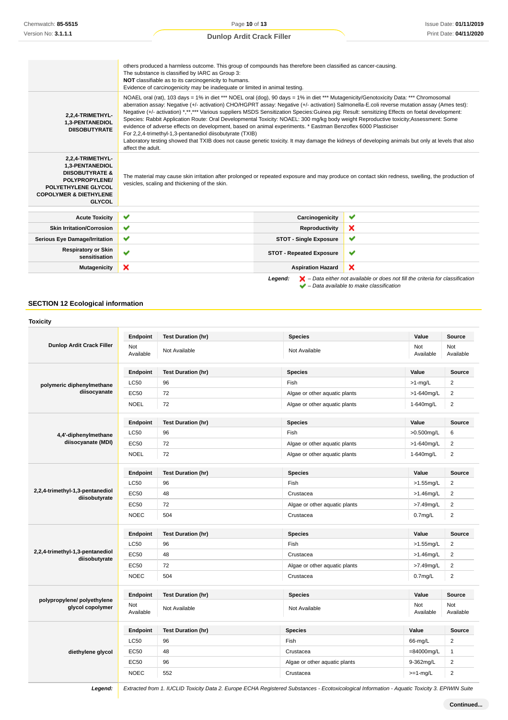|                                                                                                                                                                  | others produced a harmless outcome. This group of compounds has therefore been classified as cancer-causing.<br>The substance is classified by IARC as Group 3:<br>NOT classifiable as to its carcinogenicity to humans.<br>Evidence of carcinogenicity may be inadequate or limited in animal testing.                                                                                                                                                                                                                                                                                                                                                                                                                                                                                                                                                                                                                                 |                                 |                                                                                                    |
|------------------------------------------------------------------------------------------------------------------------------------------------------------------|-----------------------------------------------------------------------------------------------------------------------------------------------------------------------------------------------------------------------------------------------------------------------------------------------------------------------------------------------------------------------------------------------------------------------------------------------------------------------------------------------------------------------------------------------------------------------------------------------------------------------------------------------------------------------------------------------------------------------------------------------------------------------------------------------------------------------------------------------------------------------------------------------------------------------------------------|---------------------------------|----------------------------------------------------------------------------------------------------|
| 2,2,4-TRIMETHYL-<br>1,3-PENTANEDIOL<br><b>DIISOBUTYRATE</b>                                                                                                      | NOAEL oral (rat), 103 days = 1% in diet *** NOEL oral (dog), 90 days = 1% in diet *** Mutagenicity/Genotoxicity Data: *** Chromosomal<br>aberration assay: Negative (+/- activation) CHO/HGPRT assay: Negative (+/- activation) Salmonella-E.coli reverse mutation assay (Ames test):<br>Negative (+/- activation) *,**,*** Various suppliers MSDS Sensitization Species: Guinea pig: Result: sensitizing Effects on foetal development:<br>Species: Rabbit Application Route: Oral Developmental Toxicity: NOAEL: 300 mg/kg body weight Reproductive toxicity; Assessment: Some<br>evidence of adverse effects on development, based on animal experiments. * Eastman Benzoflex 6000 Plasticiser<br>For 2,2,4-trimethyl-1,3-pentanediol diisobutyrate (TXIB)<br>Laboratory testing showed that TXIB does not cause genetic toxicity. It may damage the kidneys of developing animals but only at levels that also<br>affect the adult. |                                 |                                                                                                    |
| 2,2,4-TRIMETHYL-<br>1,3-PENTANEDIOL<br><b>DIISOBUTYRATE &amp;</b><br>POLYPROPYLENE/<br>POLYETHYLENE GLYCOL<br><b>COPOLYMER &amp; DIETHYLENE</b><br><b>GLYCOL</b> | The material may cause skin irritation after prolonged or repeated exposure and may produce on contact skin redness, swelling, the production of<br>vesicles, scaling and thickening of the skin.                                                                                                                                                                                                                                                                                                                                                                                                                                                                                                                                                                                                                                                                                                                                       |                                 |                                                                                                    |
| <b>Acute Toxicity</b>                                                                                                                                            | ✔                                                                                                                                                                                                                                                                                                                                                                                                                                                                                                                                                                                                                                                                                                                                                                                                                                                                                                                                       | Carcinogenicity                 | ✔                                                                                                  |
| <b>Skin Irritation/Corrosion</b>                                                                                                                                 | ✔                                                                                                                                                                                                                                                                                                                                                                                                                                                                                                                                                                                                                                                                                                                                                                                                                                                                                                                                       | Reproductivity                  | ×                                                                                                  |
| <b>Serious Eye Damage/Irritation</b>                                                                                                                             | ✔                                                                                                                                                                                                                                                                                                                                                                                                                                                                                                                                                                                                                                                                                                                                                                                                                                                                                                                                       | <b>STOT - Single Exposure</b>   | ✔                                                                                                  |
| <b>Respiratory or Skin</b><br>sensitisation                                                                                                                      | v                                                                                                                                                                                                                                                                                                                                                                                                                                                                                                                                                                                                                                                                                                                                                                                                                                                                                                                                       | <b>STOT - Repeated Exposure</b> | $\checkmark$                                                                                       |
| Mutagenicity                                                                                                                                                     | ×                                                                                                                                                                                                                                                                                                                                                                                                                                                                                                                                                                                                                                                                                                                                                                                                                                                                                                                                       | <b>Aspiration Hazard</b>        | ×                                                                                                  |
|                                                                                                                                                                  |                                                                                                                                                                                                                                                                                                                                                                                                                                                                                                                                                                                                                                                                                                                                                                                                                                                                                                                                         | Legend:                         | $\blacktriangleright$ – Data either not available or does not fill the criteria for classification |

– Data available to make classification

# **SECTION 12 Ecological information**

| <b>Toxicity</b>                                  |                  |                           |                               |                     |                  |
|--------------------------------------------------|------------------|---------------------------|-------------------------------|---------------------|------------------|
| Dunlop Ardit Crack Filler                        | Endpoint         | <b>Test Duration (hr)</b> | <b>Species</b>                | Value               | <b>Source</b>    |
|                                                  | Not<br>Available | Not Available             | Not Available                 | Not<br>Available    | Not<br>Available |
|                                                  | Endpoint         | <b>Test Duration (hr)</b> | <b>Species</b>                | Value               | Source           |
| polymeric diphenylmethane                        | <b>LC50</b>      | 96                        | Fish                          | $>1$ -mg/L          | $\overline{2}$   |
| diisocyanate                                     | <b>EC50</b>      | 72                        | Algae or other aquatic plants | >1-640mg/L          | $\overline{2}$   |
|                                                  | <b>NOEL</b>      | 72                        | Algae or other aquatic plants | 1-640mg/L           | $\overline{2}$   |
|                                                  | Endpoint         | <b>Test Duration (hr)</b> | <b>Species</b>                | Value               | <b>Source</b>    |
| 4,4'-diphenylmethane                             | <b>LC50</b>      | 96                        | Fish                          | >0.500mg/L          | $\boldsymbol{6}$ |
| diisocyanate (MDI)                               | <b>EC50</b>      | 72                        | Algae or other aquatic plants | >1-640mg/L          | $\overline{2}$   |
|                                                  | <b>NOEL</b>      | 72                        | Algae or other aquatic plants | 1-640mg/L           | $\sqrt{2}$       |
|                                                  | Endpoint         | <b>Test Duration (hr)</b> | <b>Species</b>                | Value               | <b>Source</b>    |
|                                                  | <b>LC50</b>      | 96                        | Fish                          | $>1.55$ mg/L        | $\overline{2}$   |
| 2,2,4-trimethyl-1,3-pentanediol<br>diisobutyrate | <b>EC50</b>      | 48                        | Crustacea                     | $>1.46$ mg/L        | $\overline{2}$   |
|                                                  | <b>EC50</b>      | 72                        | Algae or other aquatic plants | >7.49mg/L           | $\overline{2}$   |
|                                                  | <b>NOEC</b>      | 504                       | Crustacea                     | 0.7 <sub>mg/L</sub> | $\sqrt{2}$       |
|                                                  | Endpoint         | <b>Test Duration (hr)</b> | <b>Species</b>                | Value               | Source           |
|                                                  | <b>LC50</b>      | 96                        | Fish                          | $>1.55$ mg/L        | $\overline{2}$   |
| 2,2,4-trimethyl-1,3-pentanediol<br>diisobutyrate | <b>EC50</b>      | 48                        | Crustacea                     | $>1.46$ mg/L        | $\overline{2}$   |
|                                                  | EC50             | 72                        | Algae or other aquatic plants | >7.49mg/L           | $\overline{2}$   |
|                                                  | <b>NOEC</b>      | 504                       | Crustacea                     | 0.7 <sub>mg/L</sub> | $\overline{2}$   |
|                                                  | <b>Endpoint</b>  | <b>Test Duration (hr)</b> | <b>Species</b>                | Value               | <b>Source</b>    |
| polypropylene/ polyethylene<br>glycol copolymer  | Not<br>Available | Not Available             | Not Available                 | Not<br>Available    | Not<br>Available |
| diethylene glycol                                | Endpoint         | <b>Test Duration (hr)</b> | <b>Species</b>                | Value               | <b>Source</b>    |
|                                                  | <b>LC50</b>      | 96                        | Fish                          | 66-mg/L             | $\overline{2}$   |
|                                                  | <b>EC50</b>      | 48                        | Crustacea                     | $=84000$ mg/L       | $\mathbf{1}$     |
|                                                  | <b>EC50</b>      | 96                        | Algae or other aquatic plants | 9-362mg/L           | $\overline{2}$   |
|                                                  | <b>NOEC</b>      | 552                       | Crustacea                     | $>=1-mg/L$          | $\overline{2}$   |

**Legend:** Extracted from 1. IUCLID Toxicity Data 2. Europe ECHA Registered Substances - Ecotoxicological Information - Aquatic Toxicity 3. EPIWIN Suite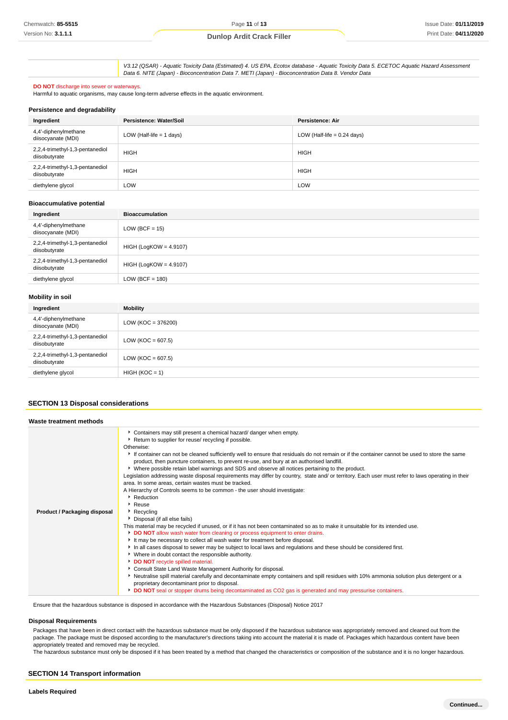V3.12 (QSAR) - Aquatic Toxicity Data (Estimated) 4. US EPA, Ecotox database - Aquatic Toxicity Data 5. ECETOC Aquatic Hazard Assessment Data 6. NITE (Japan) - Bioconcentration Data 7. METI (Japan) - Bioconcentration Data 8. Vendor Data

#### **DO NOT** discharge into sewer or waterways.

Harmful to aquatic organisms, may cause long-term adverse effects in the aquatic environment.

#### **Persistence and degradability**

| Ingredient                                       | Persistence: Water/Soil    | <b>Persistence: Air</b>       |
|--------------------------------------------------|----------------------------|-------------------------------|
| 4,4'-diphenylmethane<br>diisocyanate (MDI)       | LOW (Half-life $= 1$ days) | LOW (Half-life $= 0.24$ days) |
| 2,2,4-trimethyl-1,3-pentanediol<br>diisobutyrate | <b>HIGH</b>                | <b>HIGH</b>                   |
| 2,2,4-trimethyl-1,3-pentanediol<br>diisobutyrate | <b>HIGH</b>                | <b>HIGH</b>                   |
| diethylene glycol                                | LOW                        | LOW                           |

#### **Bioaccumulative potential**

| Ingredient                                       | <b>Bioaccumulation</b>   |
|--------------------------------------------------|--------------------------|
| 4,4'-diphenylmethane<br>diisocyanate (MDI)       | $LOW (BCF = 15)$         |
| 2,2,4-trimethyl-1,3-pentanediol<br>diisobutyrate | $HIGH (LogKOW = 4.9107)$ |
| 2,2,4-trimethyl-1,3-pentanediol<br>diisobutyrate | $HIGH (LogKOW = 4.9107)$ |
| diethylene glycol                                | $LOW (BCF = 180)$        |

#### **Mobility in soil**

| Ingredient                                       | <b>Mobility</b>       |  |
|--------------------------------------------------|-----------------------|--|
| 4,4'-diphenylmethane<br>diisocyanate (MDI)       | $LOW (KOC = 376200)$  |  |
| 2,2,4-trimethyl-1,3-pentanediol<br>diisobutyrate | LOW ( $KOC = 607.5$ ) |  |
| 2,2,4-trimethyl-1,3-pentanediol<br>diisobutyrate | LOW ( $KOC = 607.5$ ) |  |
| diethylene glycol                                | $HIGH (KOC = 1)$      |  |

#### **SECTION 13 Disposal considerations**

| Waste treatment methods      |                                                                                                                                                                                                                                                                                                                                                                                                                                                                                                                                                                                                                                                                                                                                                                                                                                                                                                                                                                                                                                                                                                                                                                                                                                                                                                                                                                                                                                                                                                                                                                                                                                                                                                                                                                               |
|------------------------------|-------------------------------------------------------------------------------------------------------------------------------------------------------------------------------------------------------------------------------------------------------------------------------------------------------------------------------------------------------------------------------------------------------------------------------------------------------------------------------------------------------------------------------------------------------------------------------------------------------------------------------------------------------------------------------------------------------------------------------------------------------------------------------------------------------------------------------------------------------------------------------------------------------------------------------------------------------------------------------------------------------------------------------------------------------------------------------------------------------------------------------------------------------------------------------------------------------------------------------------------------------------------------------------------------------------------------------------------------------------------------------------------------------------------------------------------------------------------------------------------------------------------------------------------------------------------------------------------------------------------------------------------------------------------------------------------------------------------------------------------------------------------------------|
| Product / Packaging disposal | • Containers may still present a chemical hazard/ danger when empty.<br>Return to supplier for reuse/ recycling if possible.<br>Otherwise:<br>If container can not be cleaned sufficiently well to ensure that residuals do not remain or if the container cannot be used to store the same<br>product, then puncture containers, to prevent re-use, and bury at an authorised landfill.<br>► Where possible retain label warnings and SDS and observe all notices pertaining to the product.<br>Legislation addressing waste disposal requirements may differ by country, state and/ or territory. Each user must refer to laws operating in their<br>area. In some areas, certain wastes must be tracked.<br>A Hierarchy of Controls seems to be common - the user should investigate:<br>• Reduction<br>▶ Reuse<br>$\blacktriangleright$ Recycling<br>Disposal (if all else fails)<br>This material may be recycled if unused, or if it has not been contaminated so as to make it unsuitable for its intended use.<br>DO NOT allow wash water from cleaning or process equipment to enter drains.<br>It may be necessary to collect all wash water for treatment before disposal.<br>In all cases disposal to sewer may be subject to local laws and regulations and these should be considered first.<br>▶ Where in doubt contact the responsible authority.<br>DO NOT recycle spilled material.<br>Consult State Land Waste Management Authority for disposal.<br>▶ Neutralise spill material carefully and decontaminate empty containers and spill residues with 10% ammonia solution plus detergent or a<br>proprietary decontaminant prior to disposal.<br>DO NOT seal or stopper drums being decontaminated as CO2 gas is generated and may pressurise containers. |

Ensure that the hazardous substance is disposed in accordance with the Hazardous Substances (Disposal) Notice 2017

#### **Disposal Requirements**

Packages that have been in direct contact with the hazardous substance must be only disposed if the hazardous substance was appropriately removed and cleaned out from the package. The package must be disposed according to the manufacturer's directions taking into account the material it is made of. Packages which hazardous content have been appropriately treated and removed may be recycled.

The hazardous substance must only be disposed if it has been treated by a method that changed the characteristics or composition of the substance and it is no longer hazardous.

#### **SECTION 14 Transport information**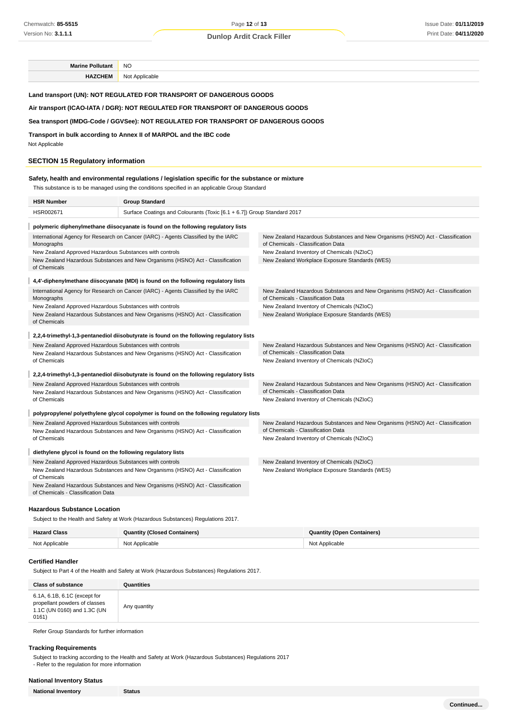**Marine Pollutant** NO **HAZCHEM** Not Applicable

**Land transport (UN): NOT REGULATED FOR TRANSPORT OF DANGEROUS GOODS**

#### **Air transport (ICAO-IATA / DGR): NOT REGULATED FOR TRANSPORT OF DANGEROUS GOODS**

#### **Sea transport (IMDG-Code / GGVSee): NOT REGULATED FOR TRANSPORT OF DANGEROUS GOODS**

**Transport in bulk according to Annex II of MARPOL and the IBC code**

Not Applicable

## **SECTION 15 Regulatory information**

# **Safety, health and environmental regulations / legislation specific for the substance or mixture**

This substance is to be managed using the conditions specified in an applicable Group Standard

| <b>HSR Number</b>                                                                                                                         | <b>Group Standard</b>                                                                    |                                                                                                                      |  |  |  |
|-------------------------------------------------------------------------------------------------------------------------------------------|------------------------------------------------------------------------------------------|----------------------------------------------------------------------------------------------------------------------|--|--|--|
| HSR002671                                                                                                                                 | Surface Coatings and Colourants (Toxic [6.1 + 6.7]) Group Standard 2017                  |                                                                                                                      |  |  |  |
|                                                                                                                                           | polymeric diphenylmethane diisocyanate is found on the following regulatory lists        |                                                                                                                      |  |  |  |
| Monographs                                                                                                                                | International Agency for Research on Cancer (IARC) - Agents Classified by the IARC       | New Zealand Hazardous Substances and New Organisms (HSNO) Act - Classification<br>of Chemicals - Classification Data |  |  |  |
| New Zealand Approved Hazardous Substances with controls                                                                                   |                                                                                          | New Zealand Inventory of Chemicals (NZIoC)                                                                           |  |  |  |
| of Chemicals                                                                                                                              | New Zealand Hazardous Substances and New Organisms (HSNO) Act - Classification           | New Zealand Workplace Exposure Standards (WES)                                                                       |  |  |  |
|                                                                                                                                           | 4,4'-diphenylmethane diisocyanate (MDI) is found on the following regulatory lists       |                                                                                                                      |  |  |  |
| Monographs                                                                                                                                | International Agency for Research on Cancer (IARC) - Agents Classified by the IARC       | New Zealand Hazardous Substances and New Organisms (HSNO) Act - Classification<br>of Chemicals - Classification Data |  |  |  |
| New Zealand Approved Hazardous Substances with controls                                                                                   |                                                                                          | New Zealand Inventory of Chemicals (NZIoC)                                                                           |  |  |  |
|                                                                                                                                           | New Zealand Hazardous Substances and New Organisms (HSNO) Act - Classification           | New Zealand Workplace Exposure Standards (WES)                                                                       |  |  |  |
| of Chemicals                                                                                                                              |                                                                                          |                                                                                                                      |  |  |  |
|                                                                                                                                           | 2,2,4-trimethyl-1,3-pentanediol diisobutyrate is found on the following regulatory lists |                                                                                                                      |  |  |  |
| New Zealand Approved Hazardous Substances with controls                                                                                   |                                                                                          | New Zealand Hazardous Substances and New Organisms (HSNO) Act - Classification<br>of Chemicals - Classification Data |  |  |  |
| New Zealand Hazardous Substances and New Organisms (HSNO) Act - Classification<br>of Chemicals                                            |                                                                                          | New Zealand Inventory of Chemicals (NZIoC)                                                                           |  |  |  |
|                                                                                                                                           | 2,2,4-trimethyl-1,3-pentanediol diisobutyrate is found on the following regulatory lists |                                                                                                                      |  |  |  |
| New Zealand Approved Hazardous Substances with controls<br>New Zealand Hazardous Substances and New Organisms (HSNO) Act - Classification |                                                                                          | New Zealand Hazardous Substances and New Organisms (HSNO) Act - Classification<br>of Chemicals - Classification Data |  |  |  |
| of Chemicals                                                                                                                              |                                                                                          | New Zealand Inventory of Chemicals (NZIoC)                                                                           |  |  |  |
|                                                                                                                                           | polypropylene/ polyethylene glycol copolymer is found on the following regulatory lists  |                                                                                                                      |  |  |  |
| New Zealand Approved Hazardous Substances with controls                                                                                   |                                                                                          | New Zealand Hazardous Substances and New Organisms (HSNO) Act - Classification                                       |  |  |  |
|                                                                                                                                           | New Zealand Hazardous Substances and New Organisms (HSNO) Act - Classification           | of Chemicals - Classification Data                                                                                   |  |  |  |
| of Chemicals                                                                                                                              |                                                                                          | New Zealand Inventory of Chemicals (NZIoC)                                                                           |  |  |  |
| diethylene glycol is found on the following regulatory lists                                                                              |                                                                                          |                                                                                                                      |  |  |  |
| New Zealand Approved Hazardous Substances with controls                                                                                   |                                                                                          | New Zealand Inventory of Chemicals (NZIoC)                                                                           |  |  |  |
| New Zealand Hazardous Substances and New Organisms (HSNO) Act - Classification<br>of Chemicals                                            |                                                                                          | New Zealand Workplace Exposure Standards (WES)                                                                       |  |  |  |
| of Chemicals - Classification Data                                                                                                        | New Zealand Hazardous Substances and New Organisms (HSNO) Act - Classification           |                                                                                                                      |  |  |  |

## **Hazardous Substance Location**

Subject to the Health and Safety at Work (Hazardous Substances) Regulations 2017.

| <b>Hazard Class</b> | <b>Quantity (Closed Containers)</b> | <b>Quantity (Open Containers)</b> |
|---------------------|-------------------------------------|-----------------------------------|
| Not Applicable      | Not Applicable                      | Not Applicable                    |

#### **Certified Handler**

Subject to Part 4 of the Health and Safety at Work (Hazardous Substances) Regulations 2017.

| <b>Class of substance</b>                                                                             | Quantities   |
|-------------------------------------------------------------------------------------------------------|--------------|
| 6.1A, 6.1B, 6.1C (except for<br>propellant powders of classes<br>1.1C (UN 0160) and 1.3C (UN<br>0161) | Any quantity |

Refer Group Standards for further information

#### **Tracking Requirements**

Subject to tracking according to the Health and Safety at Work (Hazardous Substances) Regulations 2017 - Refer to the regulation for more information

## **National Inventory Status**